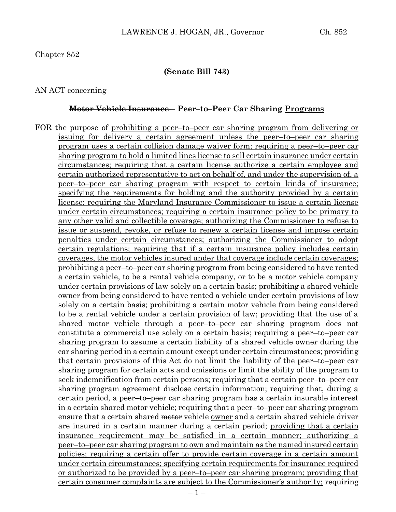#### **(Senate Bill 743)**

#### AN ACT concerning

#### **Motor Vehicle Insurance – Peer–to–Peer Car Sharing Programs**

FOR the purpose of <u>prohibiting a peer–to–peer car sharing program from delivering or</u> issuing for delivery a certain agreement unless the peer–to–peer car sharing program uses a certain collision damage waiver form; requiring a peer–to–peer car sharing program to hold a limited lines license to sell certain insurance under certain circumstances; requiring that a certain license authorize a certain employee and certain authorized representative to act on behalf of, and under the supervision of, a peer–to–peer car sharing program with respect to certain kinds of insurance; specifying the requirements for holding and the authority provided by a certain license; requiring the Maryland Insurance Commissioner to issue a certain license under certain circumstances; requiring a certain insurance policy to be primary to any other valid and collectible coverage; authorizing the Commissioner to refuse to issue or suspend, revoke, or refuse to renew a certain license and impose certain penalties under certain circumstances; authorizing the Commissioner to adopt certain regulations; requiring that if a certain insurance policy includes certain coverages, the motor vehicles insured under that coverage include certain coverages; prohibiting a peer–to–peer car sharing program from being considered to have rented a certain vehicle, to be a rental vehicle company, or to be a motor vehicle company under certain provisions of law solely on a certain basis; prohibiting a shared vehicle owner from being considered to have rented a vehicle under certain provisions of law solely on a certain basis; prohibiting a certain motor vehicle from being considered to be a rental vehicle under a certain provision of law; providing that the use of a shared motor vehicle through a peer–to–peer car sharing program does not constitute a commercial use solely on a certain basis; requiring a peer–to–peer car sharing program to assume a certain liability of a shared vehicle owner during the car sharing period in a certain amount except under certain circumstances; providing that certain provisions of this Act do not limit the liability of the peer–to–peer car sharing program for certain acts and omissions or limit the ability of the program to seek indemnification from certain persons; requiring that a certain peer–to–peer car sharing program agreement disclose certain information; requiring that, during a certain period, a peer–to–peer car sharing program has a certain insurable interest in a certain shared motor vehicle; requiring that a peer–to–peer car sharing program ensure that a certain shared <del>motor</del> vehicle owner and a certain shared vehicle driver are insured in a certain manner during a certain period; providing that a certain insurance requirement may be satisfied in a certain manner; authorizing a peer–to–peer car sharing program to own and maintain as the named insured certain policies; requiring a certain offer to provide certain coverage in a certain amount under certain circumstances; specifying certain requirements for insurance required or authorized to be provided by a peer–to–peer car sharing program; providing that certain consumer complaints are subject to the Commissioner's authority; requiring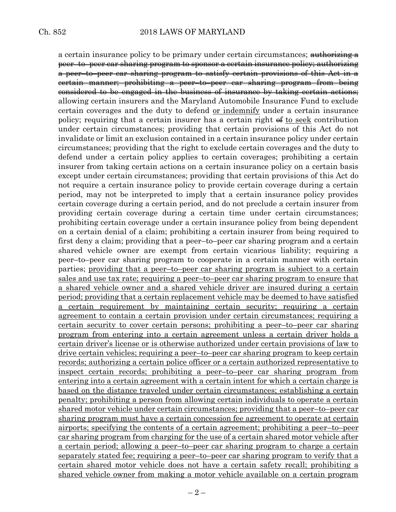a certain insurance policy to be primary under certain circumstances; authorizing a peer–to–peer car sharing program to sponsor a certain insurance policy; authorizing a peer–to–peer car sharing program to satisfy certain provisions of this Act in a certain manner; prohibiting a peer–to–peer car sharing program from being considered to be engaged in the business of insurance by taking certain actions; allowing certain insurers and the Maryland Automobile Insurance Fund to exclude certain coverages and the duty to defend or indemnify under a certain insurance policy; requiring that a certain insurer has a certain right  $\epsilon$  to seek contribution under certain circumstances; providing that certain provisions of this Act do not invalidate or limit an exclusion contained in a certain insurance policy under certain circumstances; providing that the right to exclude certain coverages and the duty to defend under a certain policy applies to certain coverages; prohibiting a certain insurer from taking certain actions on a certain insurance policy on a certain basis except under certain circumstances; providing that certain provisions of this Act do not require a certain insurance policy to provide certain coverage during a certain period, may not be interpreted to imply that a certain insurance policy provides certain coverage during a certain period, and do not preclude a certain insurer from providing certain coverage during a certain time under certain circumstances; prohibiting certain coverage under a certain insurance policy from being dependent on a certain denial of a claim; prohibiting a certain insurer from being required to first deny a claim; providing that a peer–to–peer car sharing program and a certain shared vehicle owner are exempt from certain vicarious liability; requiring a peer–to–peer car sharing program to cooperate in a certain manner with certain parties; providing that a peer–to–peer car sharing program is subject to a certain sales and use tax rate; requiring a peer–to–peer car sharing program to ensure that a shared vehicle owner and a shared vehicle driver are insured during a certain period; providing that a certain replacement vehicle may be deemed to have satisfied a certain requirement by maintaining certain security; requiring a certain agreement to contain a certain provision under certain circumstances; requiring a certain security to cover certain persons; prohibiting a peer–to–peer car sharing program from entering into a certain agreement unless a certain driver holds a certain driver's license or is otherwise authorized under certain provisions of law to drive certain vehicles; requiring a peer–to–peer car sharing program to keep certain records; authorizing a certain police officer or a certain authorized representative to inspect certain records; prohibiting a peer–to–peer car sharing program from entering into a certain agreement with a certain intent for which a certain charge is based on the distance traveled under certain circumstances; establishing a certain penalty; prohibiting a person from allowing certain individuals to operate a certain shared motor vehicle under certain circumstances; providing that a peer–to–peer car sharing program must have a certain concession fee agreement to operate at certain airports; specifying the contents of a certain agreement; prohibiting a peer–to–peer car sharing program from charging for the use of a certain shared motor vehicle after a certain period; allowing a peer–to–peer car sharing program to charge a certain separately stated fee; requiring a peer–to–peer car sharing program to verify that a certain shared motor vehicle does not have a certain safety recall; prohibiting a shared vehicle owner from making a motor vehicle available on a certain program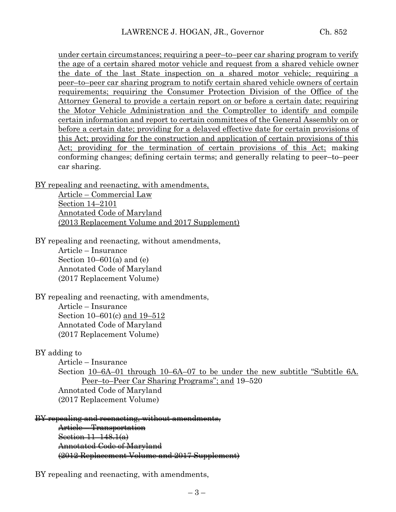under certain circumstances; requiring a peer–to–peer car sharing program to verify the age of a certain shared motor vehicle and request from a shared vehicle owner the date of the last State inspection on a shared motor vehicle; requiring a peer–to–peer car sharing program to notify certain shared vehicle owners of certain requirements; requiring the Consumer Protection Division of the Office of the Attorney General to provide a certain report on or before a certain date; requiring the Motor Vehicle Administration and the Comptroller to identify and compile certain information and report to certain committees of the General Assembly on or before a certain date; providing for a delayed effective date for certain provisions of this Act; providing for the construction and application of certain provisions of this Act; providing for the termination of certain provisions of this Act; making conforming changes; defining certain terms; and generally relating to peer–to–peer car sharing.

BY repealing and reenacting, with amendments,

Article – Commercial Law Section 14–2101 Annotated Code of Maryland (2013 Replacement Volume and 2017 Supplement)

BY repealing and reenacting, without amendments,

Article – Insurance Section  $10-601(a)$  and  $(e)$ Annotated Code of Maryland (2017 Replacement Volume)

BY repealing and reenacting, with amendments, Article – Insurance Section 10–601(c) and 19–512 Annotated Code of Maryland (2017 Replacement Volume)

#### BY adding to

Article – Insurance

Section 10–6A–01 through 10–6A–07 to be under the new subtitle "Subtitle 6A. Peer–to–Peer Car Sharing Programs"; and 19–520 Annotated Code of Maryland (2017 Replacement Volume)

BY repealing and reenacting, without amendments, Article – Transportation

Section 11–148.1(a) Annotated Code of Maryland (2012 Replacement Volume and 2017 Supplement)

BY repealing and reenacting, with amendments,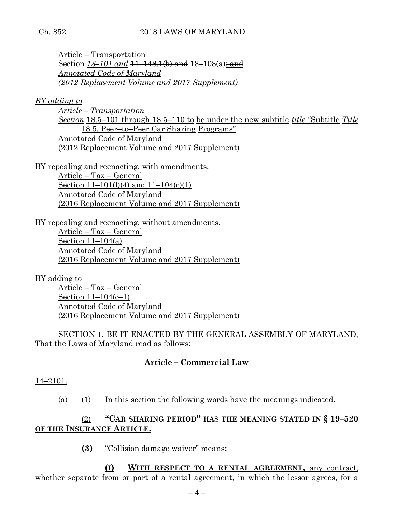### Ch. 852 2018 LAWS OF MARYLAND

Article – Transportation Section  $18-101$  and  $11-148.1$ (b) and  $18-108$ (a); and *Annotated Code of Maryland (2012 Replacement Volume and 2017 Supplement)*

*BY adding to*

*Article – Transportation Section* 18.5–101 through 18.5–110 to be under the new subtitle *title* "Subtitle *Title* 18.5. Peer–to–Peer Car Sharing Programs" Annotated Code of Maryland (2012 Replacement Volume and 2017 Supplement)

BY repealing and reenacting, with amendments,

Article – Tax – General Section 11–101(l)(4) and 11–104(c)(1) Annotated Code of Maryland (2016 Replacement Volume and 2017 Supplement)

BY repealing and reenacting, without amendments, Article – Tax – General

Section  $11-104(a)$ Annotated Code of Maryland (2016 Replacement Volume and 2017 Supplement)

BY adding to

Article – Tax – General Section 11–104(c–1) Annotated Code of Maryland (2016 Replacement Volume and 2017 Supplement)

SECTION 1. BE IT ENACTED BY THE GENERAL ASSEMBLY OF MARYLAND, That the Laws of Maryland read as follows:

# **Article – Commercial Law**

14–2101.

(a) (1) In this section the following words have the meanings indicated.

# (2) **"CAR SHARING PERIOD" HAS THE MEANING STATED IN § 19–520 OF THE INSURANCE ARTICLE.**

**(3)** "Collision damage waiver" means**:**

**(I) WITH RESPECT TO A RENTAL AGREEMENT,** any contract, whether separate from or part of a rental agreement, in which the lessor agrees, for a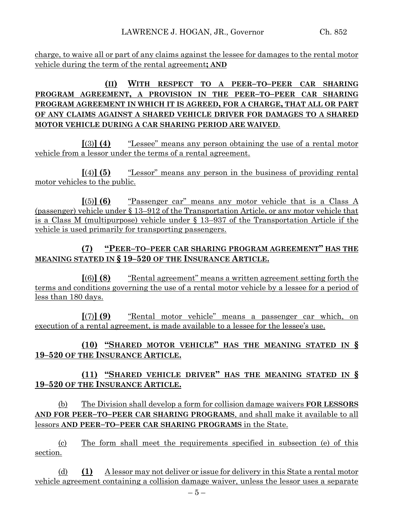charge, to waive all or part of any claims against the lessee for damages to the rental motor vehicle during the term of the rental agreement**; AND**

# **(II) WITH RESPECT TO A PEER–TO–PEER CAR SHARING PROGRAM AGREEMENT, A PROVISION IN THE PEER–TO–PEER CAR SHARING PROGRAM AGREEMENT IN WHICH IT IS AGREED, FOR A CHARGE, THAT ALL OR PART OF ANY CLAIMS AGAINST A SHARED VEHICLE DRIVER FOR DAMAGES TO A SHARED MOTOR VEHICLE DURING A CAR SHARING PERIOD ARE WAIVED**.

**[**(3)**] (4)** "Lessee" means any person obtaining the use of a rental motor vehicle from a lessor under the terms of a rental agreement.

**[**(4)**] (5)** "Lessor" means any person in the business of providing rental motor vehicles to the public.

**[**(5)**] (6)** "Passenger car" means any motor vehicle that is a Class A (passenger) vehicle under § 13–912 of the Transportation Article, or any motor vehicle that is a Class M (multipurpose) vehicle under § 13–937 of the Transportation Article if the vehicle is used primarily for transporting passengers.

# **(7) "PEER–TO–PEER CAR SHARING PROGRAM AGREEMENT" HAS THE MEANING STATED IN § 19–520 OF THE INSURANCE ARTICLE.**

**[**(6)**] (8)** "Rental agreement" means a written agreement setting forth the terms and conditions governing the use of a rental motor vehicle by a lessee for a period of less than 180 days.

**[**(7)**] (9)** "Rental motor vehicle" means a passenger car which, on execution of a rental agreement, is made available to a lessee for the lessee's use.

# **(10) "SHARED MOTOR VEHICLE" HAS THE MEANING STATED IN § 19–520 OF THE INSURANCE ARTICLE.**

# **(11) "SHARED VEHICLE DRIVER" HAS THE MEANING STATED IN § 19–520 OF THE INSURANCE ARTICLE.**

(b) The Division shall develop a form for collision damage waivers **FOR LESSORS AND FOR PEER–TO–PEER CAR SHARING PROGRAMS**, and shall make it available to all lessors **AND PEER–TO–PEER CAR SHARING PROGRAMS** in the State.

(c) The form shall meet the requirements specified in subsection (e) of this section.

(d) **(1)** A lessor may not deliver or issue for delivery in this State a rental motor vehicle agreement containing a collision damage waiver, unless the lessor uses a separate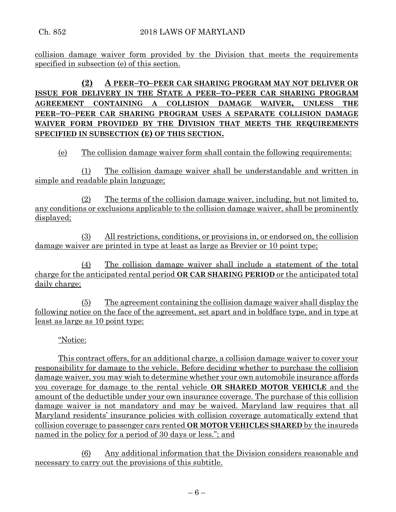collision damage waiver form provided by the Division that meets the requirements specified in subsection (e) of this section.

**(2) A PEER–TO–PEER CAR SHARING PROGRAM MAY NOT DELIVER OR ISSUE FOR DELIVERY IN THE STATE A PEER–TO–PEER CAR SHARING PROGRAM AGREEMENT CONTAINING A COLLISION DAMAGE WAIVER, UNLESS THE PEER–TO–PEER CAR SHARING PROGRAM USES A SEPARATE COLLISION DAMAGE WAIVER FORM PROVIDED BY THE DIVISION THAT MEETS THE REQUIREMENTS SPECIFIED IN SUBSECTION (E) OF THIS SECTION.**

(e) The collision damage waiver form shall contain the following requirements:

(1) The collision damage waiver shall be understandable and written in simple and readable plain language;

(2) The terms of the collision damage waiver, including, but not limited to, any conditions or exclusions applicable to the collision damage waiver, shall be prominently displayed;

(3) All restrictions, conditions, or provisions in, or endorsed on, the collision damage waiver are printed in type at least as large as Brevier or 10 point type;

(4) The collision damage waiver shall include a statement of the total charge for the anticipated rental period **OR CAR SHARING PERIOD** or the anticipated total daily charge;

(5) The agreement containing the collision damage waiver shall display the following notice on the face of the agreement, set apart and in boldface type, and in type at least as large as 10 point type:

"Notice:

This contract offers, for an additional charge, a collision damage waiver to cover your responsibility for damage to the vehicle. Before deciding whether to purchase the collision damage waiver, you may wish to determine whether your own automobile insurance affords you coverage for damage to the rental vehicle **OR SHARED MOTOR VEHICLE** and the amount of the deductible under your own insurance coverage. The purchase of this collision damage waiver is not mandatory and may be waived. Maryland law requires that all Maryland residents' insurance policies with collision coverage automatically extend that collision coverage to passenger cars rented **OR MOTOR VEHICLES SHARED** by the insureds named in the policy for a period of 30 days or less."; and

(6) Any additional information that the Division considers reasonable and necessary to carry out the provisions of this subtitle.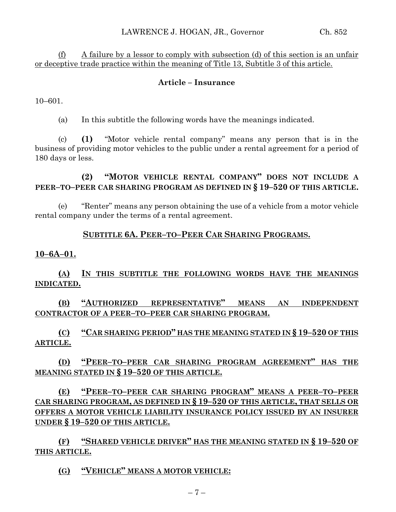(f) A failure by a lessor to comply with subsection (d) of this section is an unfair or deceptive trade practice within the meaning of Title 13, Subtitle 3 of this article.

### **Article – Insurance**

10–601.

(a) In this subtitle the following words have the meanings indicated.

(c) **(1)** "Motor vehicle rental company" means any person that is in the business of providing motor vehicles to the public under a rental agreement for a period of 180 days or less.

**(2) "MOTOR VEHICLE RENTAL COMPANY" DOES NOT INCLUDE A PEER–TO–PEER CAR SHARING PROGRAM AS DEFINED IN § 19–520 OF THIS ARTICLE.**

(e) "Renter" means any person obtaining the use of a vehicle from a motor vehicle rental company under the terms of a rental agreement.

### **SUBTITLE 6A. PEER–TO–PEER CAR SHARING PROGRAMS.**

#### **10–6A–01.**

**(A) IN THIS SUBTITLE THE FOLLOWING WORDS HAVE THE MEANINGS INDICATED.**

**(B) "AUTHORIZED REPRESENTATIVE" MEANS AN INDEPENDENT CONTRACTOR OF A PEER–TO–PEER CAR SHARING PROGRAM.**

**(C) "CAR SHARING PERIOD" HAS THE MEANING STATED IN § 19–520 OF THIS ARTICLE.**

**(D) "PEER–TO–PEER CAR SHARING PROGRAM AGREEMENT" HAS THE MEANING STATED IN § 19–520 OF THIS ARTICLE.**

**(E) "PEER–TO–PEER CAR SHARING PROGRAM" MEANS A PEER–TO–PEER CAR SHARING PROGRAM, AS DEFINED IN § 19–520 OF THIS ARTICLE, THAT SELLS OR OFFERS A MOTOR VEHICLE LIABILITY INSURANCE POLICY ISSUED BY AN INSURER UNDER § 19–520 OF THIS ARTICLE.**

**(F) "SHARED VEHICLE DRIVER" HAS THE MEANING STATED IN § 19–520 OF THIS ARTICLE.**

**(G) "VEHICLE" MEANS A MOTOR VEHICLE:**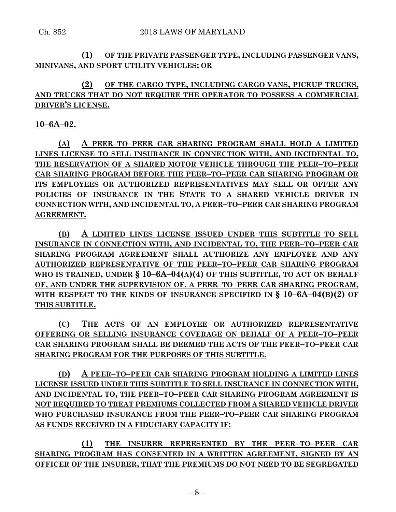### **(1) OF THE PRIVATE PASSENGER TYPE, INCLUDING PASSENGER VANS, MINIVANS, AND SPORT UTILITY VEHICLES; OR**

**(2) OF THE CARGO TYPE, INCLUDING CARGO VANS, PICKUP TRUCKS, AND TRUCKS THAT DO NOT REQUIRE THE OPERATOR TO POSSESS A COMMERCIAL DRIVER'S LICENSE.**

### **10–6A–02.**

**(A) A PEER–TO–PEER CAR SHARING PROGRAM SHALL HOLD A LIMITED LINES LICENSE TO SELL INSURANCE IN CONNECTION WITH, AND INCIDENTAL TO, THE RESERVATION OF A SHARED MOTOR VEHICLE THROUGH THE PEER–TO–PEER CAR SHARING PROGRAM BEFORE THE PEER–TO–PEER CAR SHARING PROGRAM OR ITS EMPLOYEES OR AUTHORIZED REPRESENTATIVES MAY SELL OR OFFER ANY POLICIES OF INSURANCE IN THE STATE TO A SHARED VEHICLE DRIVER IN CONNECTION WITH, AND INCIDENTAL TO, A PEER–TO–PEER CAR SHARING PROGRAM AGREEMENT.**

**(B) A LIMITED LINES LICENSE ISSUED UNDER THIS SUBTITLE TO SELL INSURANCE IN CONNECTION WITH, AND INCIDENTAL TO, THE PEER–TO–PEER CAR SHARING PROGRAM AGREEMENT SHALL AUTHORIZE ANY EMPLOYEE AND ANY AUTHORIZED REPRESENTATIVE OF THE PEER–TO–PEER CAR SHARING PROGRAM WHO IS TRAINED, UNDER § 10–6A–04(A)(4) OF THIS SUBTITLE, TO ACT ON BEHALF OF, AND UNDER THE SUPERVISION OF, A PEER–TO–PEER CAR SHARING PROGRAM, WITH RESPECT TO THE KINDS OF INSURANCE SPECIFIED IN § 10–6A–04(B)(2) OF THIS SUBTITLE.**

**(C) THE ACTS OF AN EMPLOYEE OR AUTHORIZED REPRESENTATIVE OFFERING OR SELLING INSURANCE COVERAGE ON BEHALF OF A PEER–TO–PEER CAR SHARING PROGRAM SHALL BE DEEMED THE ACTS OF THE PEER–TO–PEER CAR SHARING PROGRAM FOR THE PURPOSES OF THIS SUBTITLE.**

**(D) A PEER–TO–PEER CAR SHARING PROGRAM HOLDING A LIMITED LINES LICENSE ISSUED UNDER THIS SUBTITLE TO SELL INSURANCE IN CONNECTION WITH, AND INCIDENTAL TO, THE PEER–TO–PEER CAR SHARING PROGRAM AGREEMENT IS NOT REQUIRED TO TREAT PREMIUMS COLLECTED FROM A SHARED VEHICLE DRIVER WHO PURCHASED INSURANCE FROM THE PEER–TO–PEER CAR SHARING PROGRAM AS FUNDS RECEIVED IN A FIDUCIARY CAPACITY IF:**

**(1) THE INSURER REPRESENTED BY THE PEER–TO–PEER CAR SHARING PROGRAM HAS CONSENTED IN A WRITTEN AGREEMENT, SIGNED BY AN OFFICER OF THE INSURER, THAT THE PREMIUMS DO NOT NEED TO BE SEGREGATED**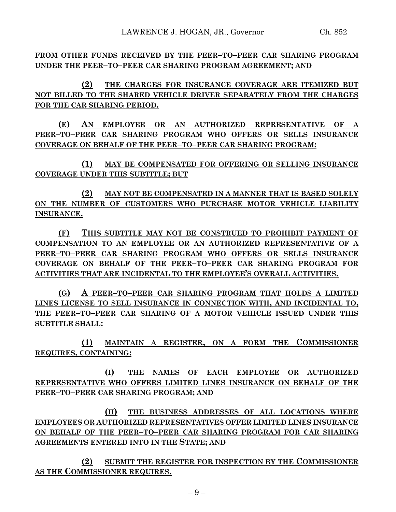**FROM OTHER FUNDS RECEIVED BY THE PEER–TO–PEER CAR SHARING PROGRAM UNDER THE PEER–TO–PEER CAR SHARING PROGRAM AGREEMENT; AND**

**(2) THE CHARGES FOR INSURANCE COVERAGE ARE ITEMIZED BUT NOT BILLED TO THE SHARED VEHICLE DRIVER SEPARATELY FROM THE CHARGES FOR THE CAR SHARING PERIOD.**

**(E) AN EMPLOYEE OR AN AUTHORIZED REPRESENTATIVE OF A PEER–TO–PEER CAR SHARING PROGRAM WHO OFFERS OR SELLS INSURANCE COVERAGE ON BEHALF OF THE PEER–TO–PEER CAR SHARING PROGRAM:**

**(1) MAY BE COMPENSATED FOR OFFERING OR SELLING INSURANCE COVERAGE UNDER THIS SUBTITLE; BUT**

**(2) MAY NOT BE COMPENSATED IN A MANNER THAT IS BASED SOLELY ON THE NUMBER OF CUSTOMERS WHO PURCHASE MOTOR VEHICLE LIABILITY INSURANCE.**

**(F) THIS SUBTITLE MAY NOT BE CONSTRUED TO PROHIBIT PAYMENT OF COMPENSATION TO AN EMPLOYEE OR AN AUTHORIZED REPRESENTATIVE OF A PEER–TO–PEER CAR SHARING PROGRAM WHO OFFERS OR SELLS INSURANCE COVERAGE ON BEHALF OF THE PEER–TO–PEER CAR SHARING PROGRAM FOR ACTIVITIES THAT ARE INCIDENTAL TO THE EMPLOYEE'S OVERALL ACTIVITIES.**

**(G) A PEER–TO–PEER CAR SHARING PROGRAM THAT HOLDS A LIMITED LINES LICENSE TO SELL INSURANCE IN CONNECTION WITH, AND INCIDENTAL TO, THE PEER–TO–PEER CAR SHARING OF A MOTOR VEHICLE ISSUED UNDER THIS SUBTITLE SHALL:**

**(1) MAINTAIN A REGISTER, ON A FORM THE COMMISSIONER REQUIRES, CONTAINING:**

**(I) THE NAMES OF EACH EMPLOYEE OR AUTHORIZED REPRESENTATIVE WHO OFFERS LIMITED LINES INSURANCE ON BEHALF OF THE PEER–TO–PEER CAR SHARING PROGRAM; AND**

**(II) THE BUSINESS ADDRESSES OF ALL LOCATIONS WHERE EMPLOYEES OR AUTHORIZED REPRESENTATIVES OFFER LIMITED LINES INSURANCE ON BEHALF OF THE PEER–TO–PEER CAR SHARING PROGRAM FOR CAR SHARING AGREEMENTS ENTERED INTO IN THE STATE; AND**

**(2) SUBMIT THE REGISTER FOR INSPECTION BY THE COMMISSIONER AS THE COMMISSIONER REQUIRES.**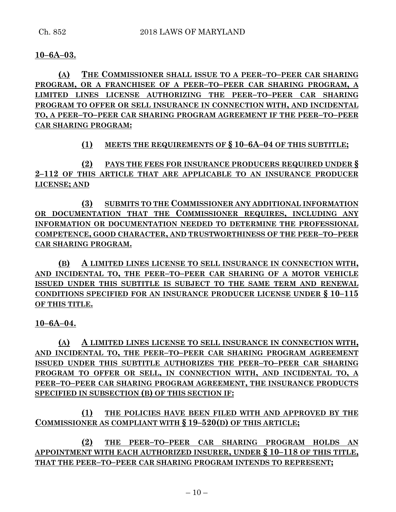### **10–6A–03.**

**(A) THE COMMISSIONER SHALL ISSUE TO A PEER–TO–PEER CAR SHARING PROGRAM, OR A FRANCHISEE OF A PEER–TO–PEER CAR SHARING PROGRAM, A LIMITED LINES LICENSE AUTHORIZING THE PEER–TO–PEER CAR SHARING PROGRAM TO OFFER OR SELL INSURANCE IN CONNECTION WITH, AND INCIDENTAL TO, A PEER–TO–PEER CAR SHARING PROGRAM AGREEMENT IF THE PEER–TO–PEER CAR SHARING PROGRAM:**

## **(1) MEETS THE REQUIREMENTS OF § 10–6A–04 OF THIS SUBTITLE;**

**(2) PAYS THE FEES FOR INSURANCE PRODUCERS REQUIRED UNDER § 2–112 OF THIS ARTICLE THAT ARE APPLICABLE TO AN INSURANCE PRODUCER LICENSE; AND**

**(3) SUBMITS TO THE COMMISSIONER ANY ADDITIONAL INFORMATION OR DOCUMENTATION THAT THE COMMISSIONER REQUIRES, INCLUDING ANY INFORMATION OR DOCUMENTATION NEEDED TO DETERMINE THE PROFESSIONAL COMPETENCE, GOOD CHARACTER, AND TRUSTWORTHINESS OF THE PEER–TO–PEER CAR SHARING PROGRAM.**

**(B) A LIMITED LINES LICENSE TO SELL INSURANCE IN CONNECTION WITH, AND INCIDENTAL TO, THE PEER–TO–PEER CAR SHARING OF A MOTOR VEHICLE ISSUED UNDER THIS SUBTITLE IS SUBJECT TO THE SAME TERM AND RENEWAL CONDITIONS SPECIFIED FOR AN INSURANCE PRODUCER LICENSE UNDER § 10–115 OF THIS TITLE.**

**10–6A–04.**

**(A) A LIMITED LINES LICENSE TO SELL INSURANCE IN CONNECTION WITH, AND INCIDENTAL TO, THE PEER–TO–PEER CAR SHARING PROGRAM AGREEMENT ISSUED UNDER THIS SUBTITLE AUTHORIZES THE PEER–TO–PEER CAR SHARING PROGRAM TO OFFER OR SELL, IN CONNECTION WITH, AND INCIDENTAL TO, A PEER–TO–PEER CAR SHARING PROGRAM AGREEMENT, THE INSURANCE PRODUCTS SPECIFIED IN SUBSECTION (B) OF THIS SECTION IF:**

**(1) THE POLICIES HAVE BEEN FILED WITH AND APPROVED BY THE COMMISSIONER AS COMPLIANT WITH § 19–520(D) OF THIS ARTICLE;**

**(2) THE PEER–TO–PEER CAR SHARING PROGRAM HOLDS AN APPOINTMENT WITH EACH AUTHORIZED INSURER, UNDER § 10–118 OF THIS TITLE, THAT THE PEER–TO–PEER CAR SHARING PROGRAM INTENDS TO REPRESENT;**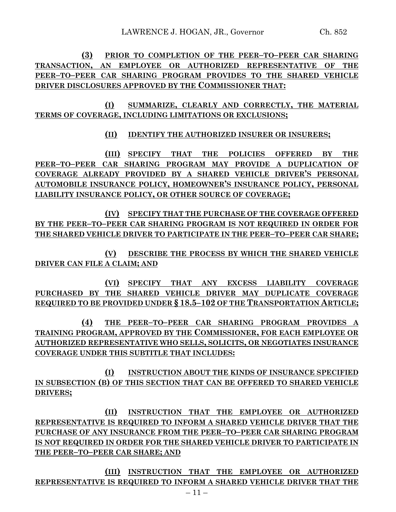**(3) PRIOR TO COMPLETION OF THE PEER–TO–PEER CAR SHARING TRANSACTION, AN EMPLOYEE OR AUTHORIZED REPRESENTATIVE OF THE PEER–TO–PEER CAR SHARING PROGRAM PROVIDES TO THE SHARED VEHICLE DRIVER DISCLOSURES APPROVED BY THE COMMISSIONER THAT:**

**(I) SUMMARIZE, CLEARLY AND CORRECTLY, THE MATERIAL TERMS OF COVERAGE, INCLUDING LIMITATIONS OR EXCLUSIONS;**

**(II) IDENTIFY THE AUTHORIZED INSURER OR INSURERS;**

**(III) SPECIFY THAT THE POLICIES OFFERED BY THE PEER–TO–PEER CAR SHARING PROGRAM MAY PROVIDE A DUPLICATION OF COVERAGE ALREADY PROVIDED BY A SHARED VEHICLE DRIVER'S PERSONAL AUTOMOBILE INSURANCE POLICY, HOMEOWNER'S INSURANCE POLICY, PERSONAL LIABILITY INSURANCE POLICY, OR OTHER SOURCE OF COVERAGE;**

**(IV) SPECIFY THAT THE PURCHASE OF THE COVERAGE OFFERED BY THE PEER–TO–PEER CAR SHARING PROGRAM IS NOT REQUIRED IN ORDER FOR THE SHARED VEHICLE DRIVER TO PARTICIPATE IN THE PEER–TO–PEER CAR SHARE;**

**(V) DESCRIBE THE PROCESS BY WHICH THE SHARED VEHICLE DRIVER CAN FILE A CLAIM; AND**

**(VI) SPECIFY THAT ANY EXCESS LIABILITY COVERAGE PURCHASED BY THE SHARED VEHICLE DRIVER MAY DUPLICATE COVERAGE REQUIRED TO BE PROVIDED UNDER § 18.5–102 OF THE TRANSPORTATION ARTICLE;**

**(4) THE PEER–TO–PEER CAR SHARING PROGRAM PROVIDES A TRAINING PROGRAM, APPROVED BY THE COMMISSIONER, FOR EACH EMPLOYEE OR AUTHORIZED REPRESENTATIVE WHO SELLS, SOLICITS, OR NEGOTIATES INSURANCE COVERAGE UNDER THIS SUBTITLE THAT INCLUDES:**

**(I) INSTRUCTION ABOUT THE KINDS OF INSURANCE SPECIFIED IN SUBSECTION (B) OF THIS SECTION THAT CAN BE OFFERED TO SHARED VEHICLE DRIVERS;**

**(II) INSTRUCTION THAT THE EMPLOYEE OR AUTHORIZED REPRESENTATIVE IS REQUIRED TO INFORM A SHARED VEHICLE DRIVER THAT THE PURCHASE OF ANY INSURANCE FROM THE PEER–TO–PEER CAR SHARING PROGRAM IS NOT REQUIRED IN ORDER FOR THE SHARED VEHICLE DRIVER TO PARTICIPATE IN THE PEER–TO–PEER CAR SHARE; AND**

**(III) INSTRUCTION THAT THE EMPLOYEE OR AUTHORIZED REPRESENTATIVE IS REQUIRED TO INFORM A SHARED VEHICLE DRIVER THAT THE**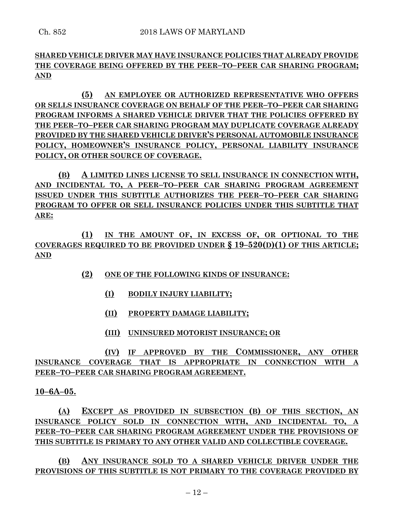# **SHARED VEHICLE DRIVER MAY HAVE INSURANCE POLICIES THAT ALREADY PROVIDE THE COVERAGE BEING OFFERED BY THE PEER–TO–PEER CAR SHARING PROGRAM; AND**

**(5) AN EMPLOYEE OR AUTHORIZED REPRESENTATIVE WHO OFFERS OR SELLS INSURANCE COVERAGE ON BEHALF OF THE PEER–TO–PEER CAR SHARING PROGRAM INFORMS A SHARED VEHICLE DRIVER THAT THE POLICIES OFFERED BY THE PEER–TO–PEER CAR SHARING PROGRAM MAY DUPLICATE COVERAGE ALREADY PROVIDED BY THE SHARED VEHICLE DRIVER'S PERSONAL AUTOMOBILE INSURANCE POLICY, HOMEOWNER'S INSURANCE POLICY, PERSONAL LIABILITY INSURANCE POLICY, OR OTHER SOURCE OF COVERAGE.**

**(B) A LIMITED LINES LICENSE TO SELL INSURANCE IN CONNECTION WITH, AND INCIDENTAL TO, A PEER–TO–PEER CAR SHARING PROGRAM AGREEMENT ISSUED UNDER THIS SUBTITLE AUTHORIZES THE PEER–TO–PEER CAR SHARING PROGRAM TO OFFER OR SELL INSURANCE POLICIES UNDER THIS SUBTITLE THAT ARE:**

**(1) IN THE AMOUNT OF, IN EXCESS OF, OR OPTIONAL TO THE COVERAGES REQUIRED TO BE PROVIDED UNDER § 19–520(D)(1) OF THIS ARTICLE; AND**

- **(2) ONE OF THE FOLLOWING KINDS OF INSURANCE:**
	- **(I) BODILY INJURY LIABILITY;**
	- **(II) PROPERTY DAMAGE LIABILITY;**
	- **(III) UNINSURED MOTORIST INSURANCE; OR**

**(IV) IF APPROVED BY THE COMMISSIONER, ANY OTHER INSURANCE COVERAGE THAT IS APPROPRIATE IN CONNECTION WITH A PEER–TO–PEER CAR SHARING PROGRAM AGREEMENT.**

**10–6A–05.**

**(A) EXCEPT AS PROVIDED IN SUBSECTION (B) OF THIS SECTION, AN INSURANCE POLICY SOLD IN CONNECTION WITH, AND INCIDENTAL TO, A PEER–TO–PEER CAR SHARING PROGRAM AGREEMENT UNDER THE PROVISIONS OF THIS SUBTITLE IS PRIMARY TO ANY OTHER VALID AND COLLECTIBLE COVERAGE.**

**(B) ANY INSURANCE SOLD TO A SHARED VEHICLE DRIVER UNDER THE PROVISIONS OF THIS SUBTITLE IS NOT PRIMARY TO THE COVERAGE PROVIDED BY**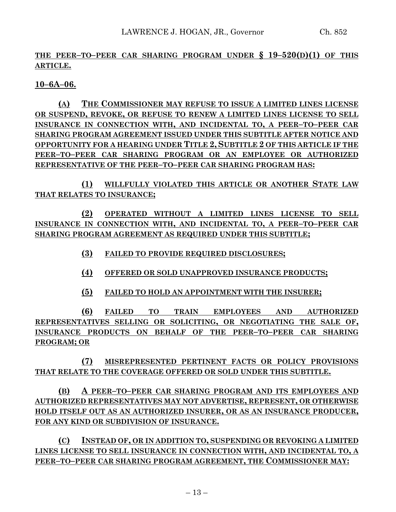## **THE PEER–TO–PEER CAR SHARING PROGRAM UNDER § 19–520(D)(1) OF THIS ARTICLE.**

**10–6A–06.**

**(A) THE COMMISSIONER MAY REFUSE TO ISSUE A LIMITED LINES LICENSE OR SUSPEND, REVOKE, OR REFUSE TO RENEW A LIMITED LINES LICENSE TO SELL INSURANCE IN CONNECTION WITH, AND INCIDENTAL TO, A PEER–TO–PEER CAR SHARING PROGRAM AGREEMENT ISSUED UNDER THIS SUBTITLE AFTER NOTICE AND OPPORTUNITY FOR A HEARING UNDER TITLE 2, SUBTITLE 2 OF THIS ARTICLE IF THE PEER–TO–PEER CAR SHARING PROGRAM OR AN EMPLOYEE OR AUTHORIZED REPRESENTATIVE OF THE PEER–TO–PEER CAR SHARING PROGRAM HAS:**

**(1) WILLFULLY VIOLATED THIS ARTICLE OR ANOTHER STATE LAW THAT RELATES TO INSURANCE;**

**(2) OPERATED WITHOUT A LIMITED LINES LICENSE TO SELL INSURANCE IN CONNECTION WITH, AND INCIDENTAL TO, A PEER–TO–PEER CAR SHARING PROGRAM AGREEMENT AS REQUIRED UNDER THIS SUBTITLE;**

**(3) FAILED TO PROVIDE REQUIRED DISCLOSURES;**

- **(4) OFFERED OR SOLD UNAPPROVED INSURANCE PRODUCTS;**
- **(5) FAILED TO HOLD AN APPOINTMENT WITH THE INSURER;**

**(6) FAILED TO TRAIN EMPLOYEES AND AUTHORIZED REPRESENTATIVES SELLING OR SOLICITING, OR NEGOTIATING THE SALE OF, INSURANCE PRODUCTS ON BEHALF OF THE PEER–TO–PEER CAR SHARING PROGRAM; OR**

**(7) MISREPRESENTED PERTINENT FACTS OR POLICY PROVISIONS THAT RELATE TO THE COVERAGE OFFERED OR SOLD UNDER THIS SUBTITLE.**

**(B) A PEER–TO–PEER CAR SHARING PROGRAM AND ITS EMPLOYEES AND AUTHORIZED REPRESENTATIVES MAY NOT ADVERTISE, REPRESENT, OR OTHERWISE HOLD ITSELF OUT AS AN AUTHORIZED INSURER, OR AS AN INSURANCE PRODUCER, FOR ANY KIND OR SUBDIVISION OF INSURANCE.**

**(C) INSTEAD OF, OR IN ADDITION TO, SUSPENDING OR REVOKING A LIMITED LINES LICENSE TO SELL INSURANCE IN CONNECTION WITH, AND INCIDENTAL TO, A PEER–TO–PEER CAR SHARING PROGRAM AGREEMENT, THE COMMISSIONER MAY:**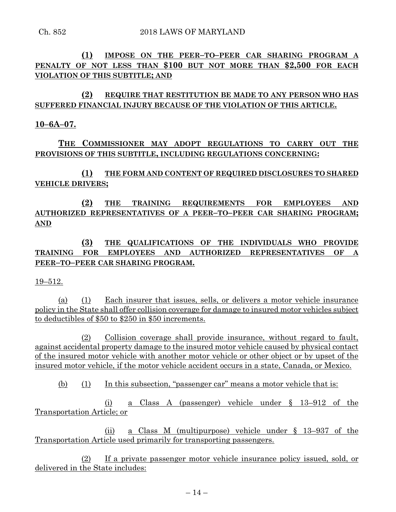**(1) IMPOSE ON THE PEER–TO–PEER CAR SHARING PROGRAM A PENALTY OF NOT LESS THAN \$100 BUT NOT MORE THAN \$2,500 FOR EACH VIOLATION OF THIS SUBTITLE; AND**

# **(2) REQUIRE THAT RESTITUTION BE MADE TO ANY PERSON WHO HAS SUFFERED FINANCIAL INJURY BECAUSE OF THE VIOLATION OF THIS ARTICLE.**

### **10–6A–07.**

# **THE COMMISSIONER MAY ADOPT REGULATIONS TO CARRY OUT THE PROVISIONS OF THIS SUBTITLE, INCLUDING REGULATIONS CONCERNING:**

**(1) THE FORM AND CONTENT OF REQUIRED DISCLOSURES TO SHARED VEHICLE DRIVERS;**

**(2) THE TRAINING REQUIREMENTS FOR EMPLOYEES AND AUTHORIZED REPRESENTATIVES OF A PEER–TO–PEER CAR SHARING PROGRAM; AND**

**(3) THE QUALIFICATIONS OF THE INDIVIDUALS WHO PROVIDE TRAINING FOR EMPLOYEES AND AUTHORIZED REPRESENTATIVES OF A PEER–TO–PEER CAR SHARING PROGRAM.**

### 19–512.

(a) (1) Each insurer that issues, sells, or delivers a motor vehicle insurance policy in the State shall offer collision coverage for damage to insured motor vehicles subject to deductibles of \$50 to \$250 in \$50 increments.

(2) Collision coverage shall provide insurance, without regard to fault, against accidental property damage to the insured motor vehicle caused by physical contact of the insured motor vehicle with another motor vehicle or other object or by upset of the insured motor vehicle, if the motor vehicle accident occurs in a state, Canada, or Mexico.

(b) (1) In this subsection, "passenger car" means a motor vehicle that is:

(i) a Class A (passenger) vehicle under § 13–912 of the Transportation Article; or

(ii) a Class M (multipurpose) vehicle under § 13–937 of the Transportation Article used primarily for transporting passengers.

(2) If a private passenger motor vehicle insurance policy issued, sold, or delivered in the State includes: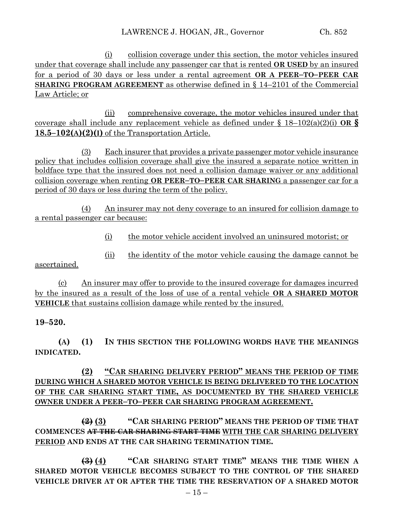(i) collision coverage under this section, the motor vehicles insured under that coverage shall include any passenger car that is rented **OR USED** by an insured for a period of 30 days or less under a rental agreement **OR A PEER–TO–PEER CAR SHARING PROGRAM AGREEMENT** as otherwise defined in § 14–2101 of the Commercial Law Article; or

(ii) comprehensive coverage, the motor vehicles insured under that coverage shall include any replacement vehicle as defined under § 18–102(a)(2)(i) **OR § 18.5–102(A)(2)(I)** of the Transportation Article.

(3) Each insurer that provides a private passenger motor vehicle insurance policy that includes collision coverage shall give the insured a separate notice written in boldface type that the insured does not need a collision damage waiver or any additional collision coverage when renting **OR PEER–TO–PEER CAR SHARING** a passenger car for a period of 30 days or less during the term of the policy.

(4) An insurer may not deny coverage to an insured for collision damage to a rental passenger car because:

(i) the motor vehicle accident involved an uninsured motorist; or

(ii) the identity of the motor vehicle causing the damage cannot be

(c) An insurer may offer to provide to the insured coverage for damages incurred by the insured as a result of the loss of use of a rental vehicle **OR A SHARED MOTOR VEHICLE** that sustains collision damage while rented by the insured.

**19–520.**

ascertained.

**(A) (1) IN THIS SECTION THE FOLLOWING WORDS HAVE THE MEANINGS INDICATED.**

**(2) "CAR SHARING DELIVERY PERIOD" MEANS THE PERIOD OF TIME DURING WHICH A SHARED MOTOR VEHICLE IS BEING DELIVERED TO THE LOCATION OF THE CAR SHARING START TIME, AS DOCUMENTED BY THE SHARED VEHICLE OWNER UNDER A PEER–TO–PEER CAR SHARING PROGRAM AGREEMENT.**

**(2) (3) "CAR SHARING PERIOD" MEANS THE PERIOD OF TIME THAT COMMENCES AT THE CAR SHARING START TIME WITH THE CAR SHARING DELIVERY PERIOD AND ENDS AT THE CAR SHARING TERMINATION TIME.**

**(3) (4) "CAR SHARING START TIME" MEANS THE TIME WHEN A SHARED MOTOR VEHICLE BECOMES SUBJECT TO THE CONTROL OF THE SHARED VEHICLE DRIVER AT OR AFTER THE TIME THE RESERVATION OF A SHARED MOTOR**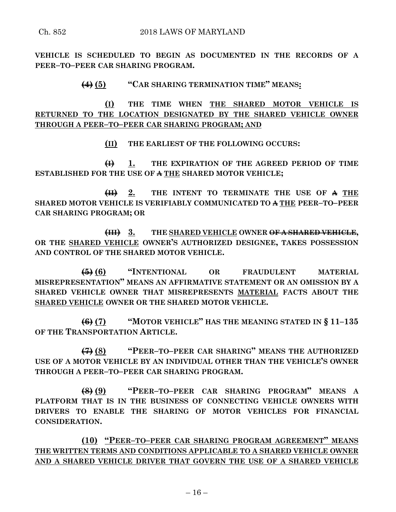**VEHICLE IS SCHEDULED TO BEGIN AS DOCUMENTED IN THE RECORDS OF A PEER–TO–PEER CAR SHARING PROGRAM.**

### **(4) (5) "CAR SHARING TERMINATION TIME" MEANS:**

**(I) THE TIME WHEN THE SHARED MOTOR VEHICLE IS RETURNED TO THE LOCATION DESIGNATED BY THE SHARED VEHICLE OWNER THROUGH A PEER–TO–PEER CAR SHARING PROGRAM; AND**

**(II) THE EARLIEST OF THE FOLLOWING OCCURS:**

**(I) 1. THE EXPIRATION OF THE AGREED PERIOD OF TIME ESTABLISHED FOR THE USE OF A THE SHARED MOTOR VEHICLE;**

**(II) 2. THE INTENT TO TERMINATE THE USE OF A THE SHARED MOTOR VEHICLE IS VERIFIABLY COMMUNICATED TO A THE PEER–TO–PEER CAR SHARING PROGRAM; OR** 

**(III) 3. THE SHARED VEHICLE OWNER OF A SHARED VEHICLE, OR THE SHARED VEHICLE OWNER'S AUTHORIZED DESIGNEE, TAKES POSSESSION AND CONTROL OF THE SHARED MOTOR VEHICLE.**

**(5) (6) "INTENTIONAL OR FRAUDULENT MATERIAL MISREPRESENTATION" MEANS AN AFFIRMATIVE STATEMENT OR AN OMISSION BY A SHARED VEHICLE OWNER THAT MISREPRESENTS MATERIAL FACTS ABOUT THE SHARED VEHICLE OWNER OR THE SHARED MOTOR VEHICLE.**

**(6) (7) "MOTOR VEHICLE" HAS THE MEANING STATED IN § 11–135 OF THE TRANSPORTATION ARTICLE.**

**(7) (8) "PEER–TO–PEER CAR SHARING" MEANS THE AUTHORIZED USE OF A MOTOR VEHICLE BY AN INDIVIDUAL OTHER THAN THE VEHICLE'S OWNER THROUGH A PEER–TO–PEER CAR SHARING PROGRAM.**

**(8) (9) "PEER–TO–PEER CAR SHARING PROGRAM" MEANS A PLATFORM THAT IS IN THE BUSINESS OF CONNECTING VEHICLE OWNERS WITH DRIVERS TO ENABLE THE SHARING OF MOTOR VEHICLES FOR FINANCIAL CONSIDERATION.**

**(10) "PEER–TO–PEER CAR SHARING PROGRAM AGREEMENT" MEANS THE WRITTEN TERMS AND CONDITIONS APPLICABLE TO A SHARED VEHICLE OWNER AND A SHARED VEHICLE DRIVER THAT GOVERN THE USE OF A SHARED VEHICLE**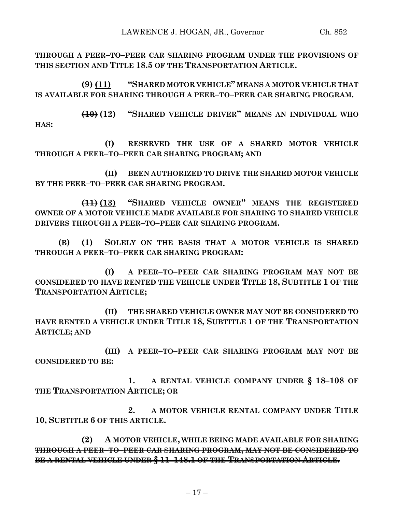LAWRENCE J. HOGAN, JR., Governor Ch. 852

**THROUGH A PEER–TO–PEER CAR SHARING PROGRAM UNDER THE PROVISIONS OF THIS SECTION AND TITLE 18.5 OF THE TRANSPORTATION ARTICLE.**

**(9) (11) "SHARED MOTOR VEHICLE" MEANS A MOTOR VEHICLE THAT IS AVAILABLE FOR SHARING THROUGH A PEER–TO–PEER CAR SHARING PROGRAM.**

**(10) (12) "SHARED VEHICLE DRIVER" MEANS AN INDIVIDUAL WHO HAS:**

**(I) RESERVED THE USE OF A SHARED MOTOR VEHICLE THROUGH A PEER–TO–PEER CAR SHARING PROGRAM; AND** 

**(II) BEEN AUTHORIZED TO DRIVE THE SHARED MOTOR VEHICLE BY THE PEER–TO–PEER CAR SHARING PROGRAM.**

**(11) (13) "SHARED VEHICLE OWNER" MEANS THE REGISTERED OWNER OF A MOTOR VEHICLE MADE AVAILABLE FOR SHARING TO SHARED VEHICLE DRIVERS THROUGH A PEER–TO–PEER CAR SHARING PROGRAM.**

**(B) (1) SOLELY ON THE BASIS THAT A MOTOR VEHICLE IS SHARED THROUGH A PEER–TO–PEER CAR SHARING PROGRAM:**

**(I) A PEER–TO–PEER CAR SHARING PROGRAM MAY NOT BE CONSIDERED TO HAVE RENTED THE VEHICLE UNDER TITLE 18, SUBTITLE 1 OF THE TRANSPORTATION ARTICLE;**

**(II) THE SHARED VEHICLE OWNER MAY NOT BE CONSIDERED TO HAVE RENTED A VEHICLE UNDER TITLE 18, SUBTITLE 1 OF THE TRANSPORTATION ARTICLE; AND**

**(III) A PEER–TO–PEER CAR SHARING PROGRAM MAY NOT BE CONSIDERED TO BE:**

**1. A RENTAL VEHICLE COMPANY UNDER § 18–108 OF THE TRANSPORTATION ARTICLE; OR**

**2. A MOTOR VEHICLE RENTAL COMPANY UNDER TITLE 10, SUBTITLE 6 OF THIS ARTICLE.**

**(2) A MOTOR VEHICLE, WHILE BEING MADE AVAILABLE FOR SHARING THROUGH A PEER–TO–PEER CAR SHARING PROGRAM, MAY NOT BE CONSIDERED TO BE A RENTAL VEHICLE UNDER § 11–148.1 OF THE TRANSPORTATION ARTICLE.**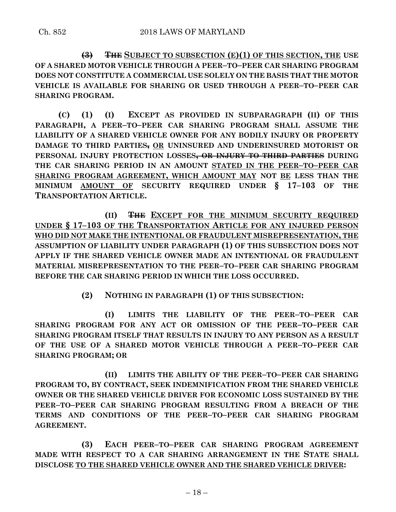**(3) THE SUBJECT TO SUBSECTION (E)(1) OF THIS SECTION, THE USE OF A SHARED MOTOR VEHICLE THROUGH A PEER–TO–PEER CAR SHARING PROGRAM DOES NOT CONSTITUTE A COMMERCIAL USE SOLELY ON THE BASIS THAT THE MOTOR VEHICLE IS AVAILABLE FOR SHARING OR USED THROUGH A PEER–TO–PEER CAR SHARING PROGRAM.**

**(C) (1) (I) EXCEPT AS PROVIDED IN SUBPARAGRAPH (II) OF THIS PARAGRAPH, A PEER–TO–PEER CAR SHARING PROGRAM SHALL ASSUME THE LIABILITY OF A SHARED VEHICLE OWNER FOR ANY BODILY INJURY OR PROPERTY DAMAGE TO THIRD PARTIES, OR UNINSURED AND UNDERINSURED MOTORIST OR PERSONAL INJURY PROTECTION LOSSES, OR INJURY TO THIRD PARTIES DURING THE CAR SHARING PERIOD IN AN AMOUNT STATED IN THE PEER–TO–PEER CAR SHARING PROGRAM AGREEMENT, WHICH AMOUNT MAY NOT BE LESS THAN THE MINIMUM AMOUNT OF SECURITY REQUIRED UNDER § 17–103 OF THE TRANSPORTATION ARTICLE.**

**(II) THE EXCEPT FOR THE MINIMUM SECURITY REQUIRED UNDER § 17–103 OF THE TRANSPORTATION ARTICLE FOR ANY INJURED PERSON WHO DID NOT MAKE THE INTENTIONAL OR FRAUDULENT MISREPRESENTATION, THE ASSUMPTION OF LIABILITY UNDER PARAGRAPH (1) OF THIS SUBSECTION DOES NOT APPLY IF THE SHARED VEHICLE OWNER MADE AN INTENTIONAL OR FRAUDULENT MATERIAL MISREPRESENTATION TO THE PEER–TO–PEER CAR SHARING PROGRAM BEFORE THE CAR SHARING PERIOD IN WHICH THE LOSS OCCURRED.**

**(2) NOTHING IN PARAGRAPH (1) OF THIS SUBSECTION:**

**(I) LIMITS THE LIABILITY OF THE PEER–TO–PEER CAR SHARING PROGRAM FOR ANY ACT OR OMISSION OF THE PEER–TO–PEER CAR SHARING PROGRAM ITSELF THAT RESULTS IN INJURY TO ANY PERSON AS A RESULT OF THE USE OF A SHARED MOTOR VEHICLE THROUGH A PEER–TO–PEER CAR SHARING PROGRAM; OR**

**(II) LIMITS THE ABILITY OF THE PEER–TO–PEER CAR SHARING PROGRAM TO, BY CONTRACT, SEEK INDEMNIFICATION FROM THE SHARED VEHICLE OWNER OR THE SHARED VEHICLE DRIVER FOR ECONOMIC LOSS SUSTAINED BY THE PEER–TO–PEER CAR SHARING PROGRAM RESULTING FROM A BREACH OF THE TERMS AND CONDITIONS OF THE PEER–TO–PEER CAR SHARING PROGRAM AGREEMENT.**

**(3) EACH PEER–TO–PEER CAR SHARING PROGRAM AGREEMENT MADE WITH RESPECT TO A CAR SHARING ARRANGEMENT IN THE STATE SHALL DISCLOSE TO THE SHARED VEHICLE OWNER AND THE SHARED VEHICLE DRIVER:**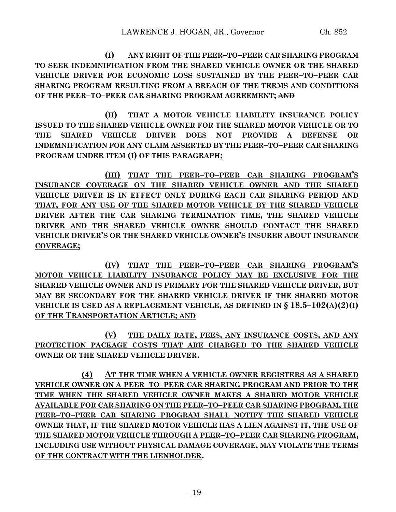**(I) ANY RIGHT OF THE PEER–TO–PEER CAR SHARING PROGRAM TO SEEK INDEMNIFICATION FROM THE SHARED VEHICLE OWNER OR THE SHARED VEHICLE DRIVER FOR ECONOMIC LOSS SUSTAINED BY THE PEER–TO–PEER CAR SHARING PROGRAM RESULTING FROM A BREACH OF THE TERMS AND CONDITIONS OF THE PEER–TO–PEER CAR SHARING PROGRAM AGREEMENT; AND**

**(II) THAT A MOTOR VEHICLE LIABILITY INSURANCE POLICY ISSUED TO THE SHARED VEHICLE OWNER FOR THE SHARED MOTOR VEHICLE OR TO THE SHARED VEHICLE DRIVER DOES NOT PROVIDE A DEFENSE OR INDEMNIFICATION FOR ANY CLAIM ASSERTED BY THE PEER–TO–PEER CAR SHARING PROGRAM UNDER ITEM (I) OF THIS PARAGRAPH;**

**(III) THAT THE PEER–TO–PEER CAR SHARING PROGRAM'S INSURANCE COVERAGE ON THE SHARED VEHICLE OWNER AND THE SHARED VEHICLE DRIVER IS IN EFFECT ONLY DURING EACH CAR SHARING PERIOD AND THAT, FOR ANY USE OF THE SHARED MOTOR VEHICLE BY THE SHARED VEHICLE DRIVER AFTER THE CAR SHARING TERMINATION TIME, THE SHARED VEHICLE DRIVER AND THE SHARED VEHICLE OWNER SHOULD CONTACT THE SHARED VEHICLE DRIVER'S OR THE SHARED VEHICLE OWNER'S INSURER ABOUT INSURANCE COVERAGE;**

**(IV) THAT THE PEER–TO–PEER CAR SHARING PROGRAM'S MOTOR VEHICLE LIABILITY INSURANCE POLICY MAY BE EXCLUSIVE FOR THE SHARED VEHICLE OWNER AND IS PRIMARY FOR THE SHARED VEHICLE DRIVER, BUT MAY BE SECONDARY FOR THE SHARED VEHICLE DRIVER IF THE SHARED MOTOR VEHICLE IS USED AS A REPLACEMENT VEHICLE, AS DEFINED IN § 18.5–102(A)(2)(I) OF THE TRANSPORTATION ARTICLE; AND**

**(V) THE DAILY RATE, FEES, ANY INSURANCE COSTS, AND ANY PROTECTION PACKAGE COSTS THAT ARE CHARGED TO THE SHARED VEHICLE OWNER OR THE SHARED VEHICLE DRIVER.**

**(4) AT THE TIME WHEN A VEHICLE OWNER REGISTERS AS A SHARED VEHICLE OWNER ON A PEER–TO–PEER CAR SHARING PROGRAM AND PRIOR TO THE TIME WHEN THE SHARED VEHICLE OWNER MAKES A SHARED MOTOR VEHICLE AVAILABLE FOR CAR SHARING ON THE PEER–TO–PEER CAR SHARING PROGRAM, THE PEER–TO–PEER CAR SHARING PROGRAM SHALL NOTIFY THE SHARED VEHICLE OWNER THAT, IF THE SHARED MOTOR VEHICLE HAS A LIEN AGAINST IT, THE USE OF THE SHARED MOTOR VEHICLE THROUGH A PEER–TO–PEER CAR SHARING PROGRAM, INCLUDING USE WITHOUT PHYSICAL DAMAGE COVERAGE, MAY VIOLATE THE TERMS OF THE CONTRACT WITH THE LIENHOLDER.**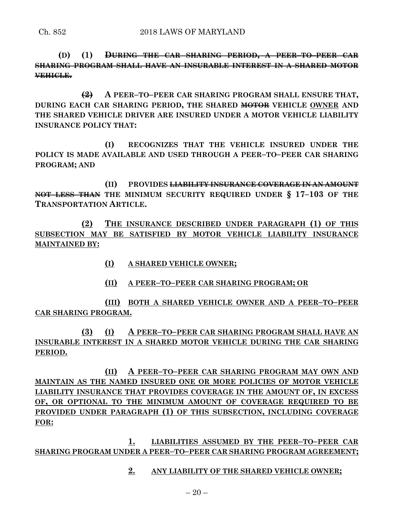**(D) (1) DURING THE CAR SHARING PERIOD, A PEER–TO–PEER CAR SHARING PROGRAM SHALL HAVE AN INSURABLE INTEREST IN A SHARED MOTOR VEHICLE.**

**(2) A PEER–TO–PEER CAR SHARING PROGRAM SHALL ENSURE THAT, DURING EACH CAR SHARING PERIOD, THE SHARED MOTOR VEHICLE OWNER AND THE SHARED VEHICLE DRIVER ARE INSURED UNDER A MOTOR VEHICLE LIABILITY INSURANCE POLICY THAT:**

**(I) RECOGNIZES THAT THE VEHICLE INSURED UNDER THE POLICY IS MADE AVAILABLE AND USED THROUGH A PEER–TO–PEER CAR SHARING PROGRAM; AND**

**(II) PROVIDES LIABILITY INSURANCE COVERAGE IN AN AMOUNT NOT LESS THAN THE MINIMUM SECURITY REQUIRED UNDER § 17–103 OF THE TRANSPORTATION ARTICLE.**

**(2) THE INSURANCE DESCRIBED UNDER PARAGRAPH (1) OF THIS SUBSECTION MAY BE SATISFIED BY MOTOR VEHICLE LIABILITY INSURANCE MAINTAINED BY:**

- **(I) A SHARED VEHICLE OWNER;**
- **(II) A PEER–TO–PEER CAR SHARING PROGRAM; OR**

**(III) BOTH A SHARED VEHICLE OWNER AND A PEER–TO–PEER CAR SHARING PROGRAM.**

**(3) (I) A PEER–TO–PEER CAR SHARING PROGRAM SHALL HAVE AN INSURABLE INTEREST IN A SHARED MOTOR VEHICLE DURING THE CAR SHARING PERIOD.**

**(II) A PEER–TO–PEER CAR SHARING PROGRAM MAY OWN AND MAINTAIN AS THE NAMED INSURED ONE OR MORE POLICIES OF MOTOR VEHICLE LIABILITY INSURANCE THAT PROVIDES COVERAGE IN THE AMOUNT OF, IN EXCESS OF, OR OPTIONAL TO THE MINIMUM AMOUNT OF COVERAGE REQUIRED TO BE PROVIDED UNDER PARAGRAPH (1) OF THIS SUBSECTION, INCLUDING COVERAGE FOR:**

**1. LIABILITIES ASSUMED BY THE PEER–TO–PEER CAR SHARING PROGRAM UNDER A PEER–TO–PEER CAR SHARING PROGRAM AGREEMENT;**

**2. ANY LIABILITY OF THE SHARED VEHICLE OWNER;**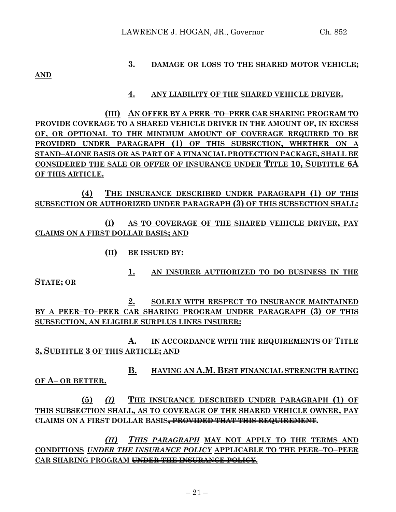#### **3. DAMAGE OR LOSS TO THE SHARED MOTOR VEHICLE;**

**AND**

#### **4. ANY LIABILITY OF THE SHARED VEHICLE DRIVER.**

**(III) AN OFFER BY A PEER–TO–PEER CAR SHARING PROGRAM TO PROVIDE COVERAGE TO A SHARED VEHICLE DRIVER IN THE AMOUNT OF, IN EXCESS OF, OR OPTIONAL TO THE MINIMUM AMOUNT OF COVERAGE REQUIRED TO BE PROVIDED UNDER PARAGRAPH (1) OF THIS SUBSECTION, WHETHER ON A STAND–ALONE BASIS OR AS PART OF A FINANCIAL PROTECTION PACKAGE, SHALL BE CONSIDERED THE SALE OR OFFER OF INSURANCE UNDER TITLE 10, SUBTITLE 6A OF THIS ARTICLE.**

**(4) THE INSURANCE DESCRIBED UNDER PARAGRAPH (1) OF THIS SUBSECTION OR AUTHORIZED UNDER PARAGRAPH (3) OF THIS SUBSECTION SHALL:**

**(I) AS TO COVERAGE OF THE SHARED VEHICLE DRIVER, PAY CLAIMS ON A FIRST DOLLAR BASIS; AND**

**(II) BE ISSUED BY:**

**1. AN INSURER AUTHORIZED TO DO BUSINESS IN THE** 

**STATE; OR**

**2. SOLELY WITH RESPECT TO INSURANCE MAINTAINED BY A PEER–TO–PEER CAR SHARING PROGRAM UNDER PARAGRAPH (3) OF THIS SUBSECTION, AN ELIGIBLE SURPLUS LINES INSURER:**

**A. IN ACCORDANCE WITH THE REQUIREMENTS OF TITLE 3, SUBTITLE 3 OF THIS ARTICLE; AND**

**B. HAVING AN A.M. BEST FINANCIAL STRENGTH RATING OF A– OR BETTER.**

**(5)** *(I)* **THE INSURANCE DESCRIBED UNDER PARAGRAPH (1) OF THIS SUBSECTION SHALL, AS TO COVERAGE OF THE SHARED VEHICLE OWNER, PAY CLAIMS ON A FIRST DOLLAR BASIS, PROVIDED THAT THIS REQUIREMENT***.*

*(II) THIS PARAGRAPH* **MAY NOT APPLY TO THE TERMS AND CONDITIONS** *UNDER THE INSURANCE POLICY* **APPLICABLE TO THE PEER–TO–PEER CAR SHARING PROGRAM UNDER THE INSURANCE POLICY.**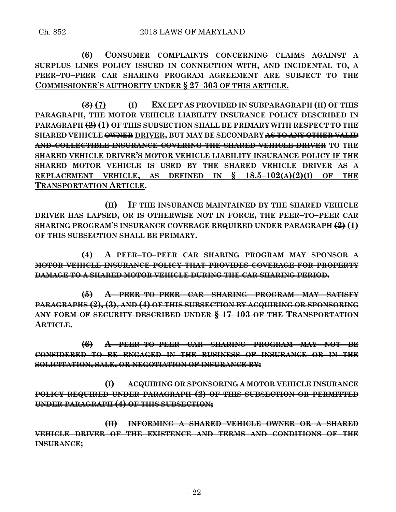**(6) CONSUMER COMPLAINTS CONCERNING CLAIMS AGAINST A SURPLUS LINES POLICY ISSUED IN CONNECTION WITH, AND INCIDENTAL TO, A PEER–TO–PEER CAR SHARING PROGRAM AGREEMENT ARE SUBJECT TO THE COMMISSIONER'S AUTHORITY UNDER § 27–303 OF THIS ARTICLE.**

**(3) (7) (I) EXCEPT AS PROVIDED IN SUBPARAGRAPH (II) OF THIS PARAGRAPH, THE MOTOR VEHICLE LIABILITY INSURANCE POLICY DESCRIBED IN PARAGRAPH (2)(1) OF THIS SUBSECTION SHALL BE PRIMARY WITH RESPECT TO THE SHARED VEHICLE OWNER DRIVER, BUT MAY BE SECONDARY AS TO ANY OTHER VALID AND COLLECTIBLE INSURANCE COVERING THE SHARED VEHICLE DRIVER TO THE SHARED VEHICLE DRIVER'S MOTOR VEHICLE LIABILITY INSURANCE POLICY IF THE SHARED MOTOR VEHICLE IS USED BY THE SHARED VEHICLE DRIVER AS A REPLACEMENT VEHICLE, AS DEFINED IN § 18.5–102(A)(2)(I) OF THE TRANSPORTATION ARTICLE.**

**(II) IF THE INSURANCE MAINTAINED BY THE SHARED VEHICLE DRIVER HAS LAPSED, OR IS OTHERWISE NOT IN FORCE, THE PEER–TO–PEER CAR SHARING PROGRAM'S INSURANCE COVERAGE REQUIRED UNDER PARAGRAPH (2) (1) OF THIS SUBSECTION SHALL BE PRIMARY.**

**(4) A PEER–TO–PEER CAR SHARING PROGRAM MAY SPONSOR A MOTOR VEHICLE INSURANCE POLICY THAT PROVIDES COVERAGE FOR PROPERTY DAMAGE TO A SHARED MOTOR VEHICLE DURING THE CAR SHARING PERIOD.**

**(5) A PEER–TO–PEER CAR SHARING PROGRAM MAY SATISFY PARAGRAPHS (2), (3), AND (4) OF THIS SUBSECTION BY ACQUIRING OR SPONSORING ANY FORM OF SECURITY DESCRIBED UNDER § 17–103 OF THE TRANSPORTATION ARTICLE.**

**(6) A PEER–TO–PEER CAR SHARING PROGRAM MAY NOT BE CONSIDERED TO BE ENGAGED IN THE BUSINESS OF INSURANCE OR IN THE SOLICITATION, SALE, OR NEGOTIATION OF INSURANCE BY:**

**(I) ACQUIRING OR SPONSORING A MOTOR VEHICLE INSURANCE POLICY REQUIRED UNDER PARAGRAPH (2) OF THIS SUBSECTION OR PERMITTED UNDER PARAGRAPH (4) OF THIS SUBSECTION;**

**(II) INFORMING A SHARED VEHICLE OWNER OR A SHARED VEHICLE DRIVER OF THE EXISTENCE AND TERMS AND CONDITIONS OF THE INSURANCE;**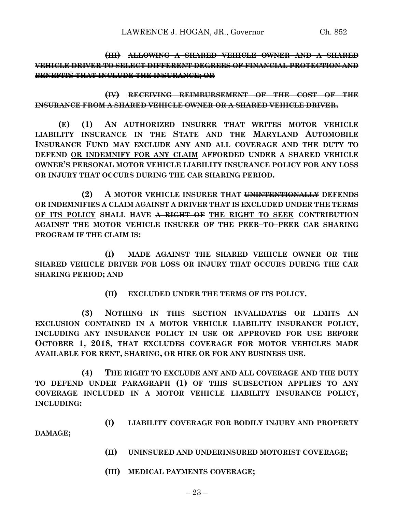**(III) ALLOWING A SHARED VEHICLE OWNER AND A SHARED VEHICLE DRIVER TO SELECT DIFFERENT DEGREES OF FINANCIAL PROTECTION AND BENEFITS THAT INCLUDE THE INSURANCE; OR** 

**(IV) RECEIVING REIMBURSEMENT OF THE COST OF THE INSURANCE FROM A SHARED VEHICLE OWNER OR A SHARED VEHICLE DRIVER.**

**(E) (1) AN AUTHORIZED INSURER THAT WRITES MOTOR VEHICLE LIABILITY INSURANCE IN THE STATE AND THE MARYLAND AUTOMOBILE INSURANCE FUND MAY EXCLUDE ANY AND ALL COVERAGE AND THE DUTY TO DEFEND OR INDEMNIFY FOR ANY CLAIM AFFORDED UNDER A SHARED VEHICLE OWNER'S PERSONAL MOTOR VEHICLE LIABILITY INSURANCE POLICY FOR ANY LOSS OR INJURY THAT OCCURS DURING THE CAR SHARING PERIOD.**

**(2) A MOTOR VEHICLE INSURER THAT UNINTENTIONALLY DEFENDS OR INDEMNIFIES A CLAIM AGAINST A DRIVER THAT IS EXCLUDED UNDER THE TERMS OF ITS POLICY SHALL HAVE A RIGHT OF THE RIGHT TO SEEK CONTRIBUTION AGAINST THE MOTOR VEHICLE INSURER OF THE PEER–TO–PEER CAR SHARING PROGRAM IF THE CLAIM IS:**

**(I) MADE AGAINST THE SHARED VEHICLE OWNER OR THE SHARED VEHICLE DRIVER FOR LOSS OR INJURY THAT OCCURS DURING THE CAR SHARING PERIOD; AND** 

**(II) EXCLUDED UNDER THE TERMS OF ITS POLICY.**

**(3) NOTHING IN THIS SECTION INVALIDATES OR LIMITS AN EXCLUSION CONTAINED IN A MOTOR VEHICLE LIABILITY INSURANCE POLICY, INCLUDING ANY INSURANCE POLICY IN USE OR APPROVED FOR USE BEFORE OCTOBER 1, 2018, THAT EXCLUDES COVERAGE FOR MOTOR VEHICLES MADE AVAILABLE FOR RENT, SHARING, OR HIRE OR FOR ANY BUSINESS USE.**

**(4) THE RIGHT TO EXCLUDE ANY AND ALL COVERAGE AND THE DUTY TO DEFEND UNDER PARAGRAPH (1) OF THIS SUBSECTION APPLIES TO ANY COVERAGE INCLUDED IN A MOTOR VEHICLE LIABILITY INSURANCE POLICY, INCLUDING:**

**(I) LIABILITY COVERAGE FOR BODILY INJURY AND PROPERTY** 

**DAMAGE;**

- **(II) UNINSURED AND UNDERINSURED MOTORIST COVERAGE;**
- **(III) MEDICAL PAYMENTS COVERAGE;**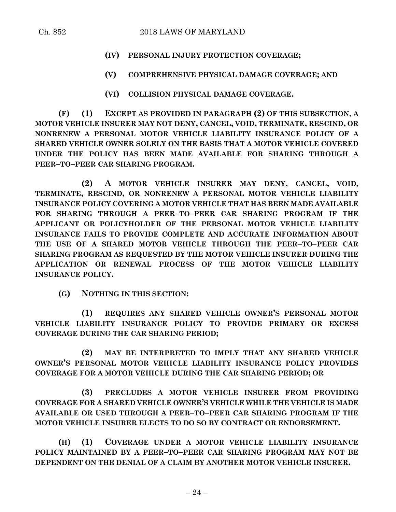- **(IV) PERSONAL INJURY PROTECTION COVERAGE;**
- **(V) COMPREHENSIVE PHYSICAL DAMAGE COVERAGE; AND**
- **(VI) COLLISION PHYSICAL DAMAGE COVERAGE.**

**(F) (1) EXCEPT AS PROVIDED IN PARAGRAPH (2) OF THIS SUBSECTION, A MOTOR VEHICLE INSURER MAY NOT DENY, CANCEL, VOID, TERMINATE, RESCIND, OR NONRENEW A PERSONAL MOTOR VEHICLE LIABILITY INSURANCE POLICY OF A SHARED VEHICLE OWNER SOLELY ON THE BASIS THAT A MOTOR VEHICLE COVERED UNDER THE POLICY HAS BEEN MADE AVAILABLE FOR SHARING THROUGH A PEER–TO–PEER CAR SHARING PROGRAM.**

**(2) A MOTOR VEHICLE INSURER MAY DENY, CANCEL, VOID, TERMINATE, RESCIND, OR NONRENEW A PERSONAL MOTOR VEHICLE LIABILITY INSURANCE POLICY COVERING A MOTOR VEHICLE THAT HAS BEEN MADE AVAILABLE FOR SHARING THROUGH A PEER–TO–PEER CAR SHARING PROGRAM IF THE APPLICANT OR POLICYHOLDER OF THE PERSONAL MOTOR VEHICLE LIABILITY INSURANCE FAILS TO PROVIDE COMPLETE AND ACCURATE INFORMATION ABOUT THE USE OF A SHARED MOTOR VEHICLE THROUGH THE PEER–TO–PEER CAR SHARING PROGRAM AS REQUESTED BY THE MOTOR VEHICLE INSURER DURING THE APPLICATION OR RENEWAL PROCESS OF THE MOTOR VEHICLE LIABILITY INSURANCE POLICY.**

**(G) NOTHING IN THIS SECTION:**

**(1) REQUIRES ANY SHARED VEHICLE OWNER'S PERSONAL MOTOR VEHICLE LIABILITY INSURANCE POLICY TO PROVIDE PRIMARY OR EXCESS COVERAGE DURING THE CAR SHARING PERIOD;**

**(2) MAY BE INTERPRETED TO IMPLY THAT ANY SHARED VEHICLE OWNER'S PERSONAL MOTOR VEHICLE LIABILITY INSURANCE POLICY PROVIDES COVERAGE FOR A MOTOR VEHICLE DURING THE CAR SHARING PERIOD; OR**

**(3) PRECLUDES A MOTOR VEHICLE INSURER FROM PROVIDING COVERAGE FOR A SHARED VEHICLE OWNER'S VEHICLE WHILE THE VEHICLE IS MADE AVAILABLE OR USED THROUGH A PEER–TO–PEER CAR SHARING PROGRAM IF THE MOTOR VEHICLE INSURER ELECTS TO DO SO BY CONTRACT OR ENDORSEMENT.**

**(H) (1) COVERAGE UNDER A MOTOR VEHICLE LIABILITY INSURANCE POLICY MAINTAINED BY A PEER–TO–PEER CAR SHARING PROGRAM MAY NOT BE DEPENDENT ON THE DENIAL OF A CLAIM BY ANOTHER MOTOR VEHICLE INSURER.**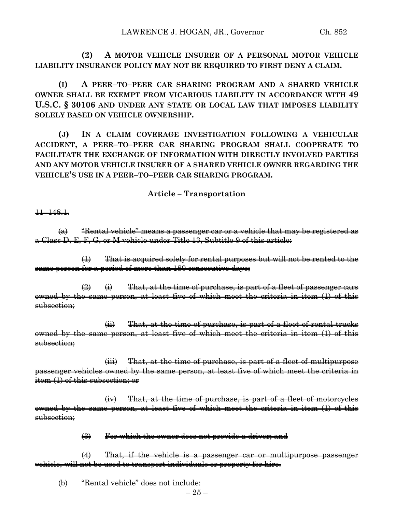**(2) A MOTOR VEHICLE INSURER OF A PERSONAL MOTOR VEHICLE LIABILITY INSURANCE POLICY MAY NOT BE REQUIRED TO FIRST DENY A CLAIM.**

**(I) A PEER–TO–PEER CAR SHARING PROGRAM AND A SHARED VEHICLE OWNER SHALL BE EXEMPT FROM VICARIOUS LIABILITY IN ACCORDANCE WITH 49 U.S.C. § 30106 AND UNDER ANY STATE OR LOCAL LAW THAT IMPOSES LIABILITY SOLELY BASED ON VEHICLE OWNERSHIP.**

**(J) IN A CLAIM COVERAGE INVESTIGATION FOLLOWING A VEHICULAR ACCIDENT, A PEER–TO–PEER CAR SHARING PROGRAM SHALL COOPERATE TO FACILITATE THE EXCHANGE OF INFORMATION WITH DIRECTLY INVOLVED PARTIES AND ANY MOTOR VEHICLE INSURER OF A SHARED VEHICLE OWNER REGARDING THE VEHICLE'S USE IN A PEER–TO–PEER CAR SHARING PROGRAM.**

#### **Article – Transportation**

11–148.1.

 $(a)$  "Rental vehicle" means a passenger car or a vehicle that may be registered as a Class D, E, F, G, or M vehicle under Title 13, Subtitle 9 of this article:

 $(1)$  That is acquired solely for rental purposes but will not be rented to the same person for a period of more than 180 consecutive days;

 $\overrightarrow{2}$   $\leftrightarrow$  That, at the time of purchase, is part of a fleet of passenger cars owned by the same person, at least five of which meet the criteria in item (1) of this subsection;

(ii) That, at the time of purchase, is part of a fleet of rental trucks owned by the same person, at least five of which meet the criteria in item (1) of this subsection;

(iii) That, at the time of purchase, is part of a fleet of multipurpose passenger vehicles owned by the same person, at least five of which meet the criteria in item (1) of this subsection; or

(iv) That, at the time of purchase, is part of a fleet of motorcycles owned by the same person, at least five of which meet the criteria in item (1) of this subsection;

(3) For which the owner does not provide a driver; and

(4) That, if the vehicle is a passenger car or multipurpose passenger vehicle, will not be used to transport individuals or property for hire.

(b) "Rental vehicle" does not include: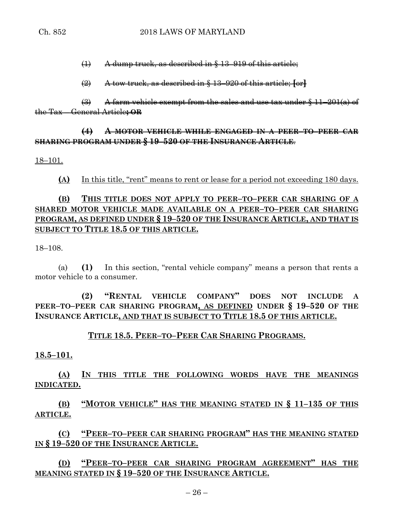(1) A dump truck, as described in § 13–919 of this article;

(2) A tow truck, as described in § 13–920 of this article; **[**or**]**

 $\left(\frac{3}{2}\right)$  A farm vehicle exempt from the sales and use tax under § 11–201(a) of the Tax – General Article**; OR**

### **(4) A MOTOR VEHICLE WHILE ENGAGED IN A PEER–TO–PEER CAR SHARING PROGRAM UNDER § 19–520 OF THE INSURANCE ARTICLE**.

18–101.

**(A)** In this title, "rent" means to rent or lease for a period not exceeding 180 days.

# **(B) THIS TITLE DOES NOT APPLY TO PEER–TO–PEER CAR SHARING OF A SHARED MOTOR VEHICLE MADE AVAILABLE ON A PEER–TO–PEER CAR SHARING PROGRAM, AS DEFINED UNDER § 19–520 OF THE INSURANCE ARTICLE, AND THAT IS SUBJECT TO TITLE 18.5 OF THIS ARTICLE.**

18–108.

(a) **(1)** In this section, "rental vehicle company" means a person that rents a motor vehicle to a consumer.

**(2) "RENTAL VEHICLE COMPANY" DOES NOT INCLUDE A PEER–TO–PEER CAR SHARING PROGRAM, AS DEFINED UNDER § 19–520 OF THE INSURANCE ARTICLE, AND THAT IS SUBJECT TO TITLE 18.5 OF THIS ARTICLE.**

### **TITLE 18.5. PEER–TO–PEER CAR SHARING PROGRAMS.**

#### **18.5–101.**

**(A) IN THIS TITLE THE FOLLOWING WORDS HAVE THE MEANINGS INDICATED.**

**(B) "MOTOR VEHICLE" HAS THE MEANING STATED IN § 11–135 OF THIS ARTICLE.**

**(C) "PEER–TO–PEER CAR SHARING PROGRAM" HAS THE MEANING STATED IN § 19–520 OF THE INSURANCE ARTICLE.**

**(D) "PEER–TO–PEER CAR SHARING PROGRAM AGREEMENT" HAS THE MEANING STATED IN § 19–520 OF THE INSURANCE ARTICLE.**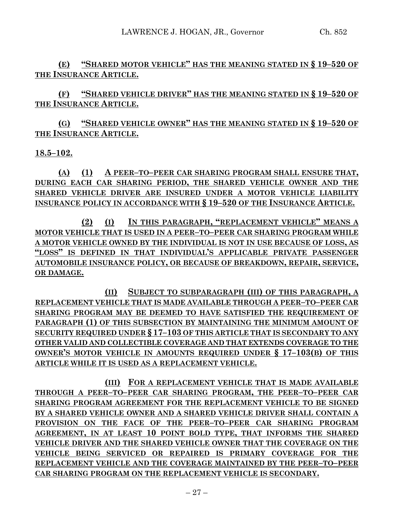**(E) "SHARED MOTOR VEHICLE" HAS THE MEANING STATED IN § 19–520 OF THE INSURANCE ARTICLE.**

**(F) "SHARED VEHICLE DRIVER" HAS THE MEANING STATED IN § 19–520 OF THE INSURANCE ARTICLE.**

**(G) "SHARED VEHICLE OWNER" HAS THE MEANING STATED IN § 19–520 OF THE INSURANCE ARTICLE.**

**18.5–102.**

**(A) (1) A PEER–TO–PEER CAR SHARING PROGRAM SHALL ENSURE THAT, DURING EACH CAR SHARING PERIOD, THE SHARED VEHICLE OWNER AND THE SHARED VEHICLE DRIVER ARE INSURED UNDER A MOTOR VEHICLE LIABILITY INSURANCE POLICY IN ACCORDANCE WITH § 19–520 OF THE INSURANCE ARTICLE.**

**(2) (I) IN THIS PARAGRAPH, "REPLACEMENT VEHICLE" MEANS A MOTOR VEHICLE THAT IS USED IN A PEER–TO–PEER CAR SHARING PROGRAM WHILE A MOTOR VEHICLE OWNED BY THE INDIVIDUAL IS NOT IN USE BECAUSE OF LOSS, AS "LOSS" IS DEFINED IN THAT INDIVIDUAL'S APPLICABLE PRIVATE PASSENGER AUTOMOBILE INSURANCE POLICY, OR BECAUSE OF BREAKDOWN, REPAIR, SERVICE, OR DAMAGE.**

**(II) SUBJECT TO SUBPARAGRAPH (III) OF THIS PARAGRAPH, A REPLACEMENT VEHICLE THAT IS MADE AVAILABLE THROUGH A PEER–TO–PEER CAR SHARING PROGRAM MAY BE DEEMED TO HAVE SATISFIED THE REQUIREMENT OF PARAGRAPH (1) OF THIS SUBSECTION BY MAINTAINING THE MINIMUM AMOUNT OF SECURITY REQUIRED UNDER § 17–103 OF THIS ARTICLE THAT IS SECONDARY TO ANY OTHER VALID AND COLLECTIBLE COVERAGE AND THAT EXTENDS COVERAGE TO THE OWNER'S MOTOR VEHICLE IN AMOUNTS REQUIRED UNDER § 17–103(B) OF THIS ARTICLE WHILE IT IS USED AS A REPLACEMENT VEHICLE.**

**(III) FOR A REPLACEMENT VEHICLE THAT IS MADE AVAILABLE THROUGH A PEER–TO–PEER CAR SHARING PROGRAM, THE PEER–TO–PEER CAR SHARING PROGRAM AGREEMENT FOR THE REPLACEMENT VEHICLE TO BE SIGNED BY A SHARED VEHICLE OWNER AND A SHARED VEHICLE DRIVER SHALL CONTAIN A PROVISION ON THE FACE OF THE PEER–TO–PEER CAR SHARING PROGRAM AGREEMENT, IN AT LEAST 10 POINT BOLD TYPE, THAT INFORMS THE SHARED VEHICLE DRIVER AND THE SHARED VEHICLE OWNER THAT THE COVERAGE ON THE VEHICLE BEING SERVICED OR REPAIRED IS PRIMARY COVERAGE FOR THE REPLACEMENT VEHICLE AND THE COVERAGE MAINTAINED BY THE PEER–TO–PEER CAR SHARING PROGRAM ON THE REPLACEMENT VEHICLE IS SECONDARY.**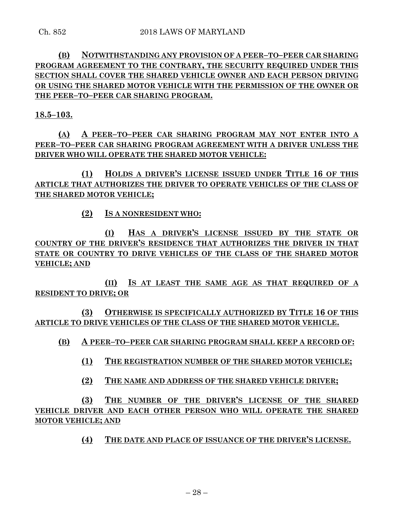# **(B) NOTWITHSTANDING ANY PROVISION OF A PEER–TO–PEER CAR SHARING PROGRAM AGREEMENT TO THE CONTRARY, THE SECURITY REQUIRED UNDER THIS SECTION SHALL COVER THE SHARED VEHICLE OWNER AND EACH PERSON DRIVING OR USING THE SHARED MOTOR VEHICLE WITH THE PERMISSION OF THE OWNER OR THE PEER–TO–PEER CAR SHARING PROGRAM.**

**18.5–103.**

**(A) A PEER–TO–PEER CAR SHARING PROGRAM MAY NOT ENTER INTO A PEER–TO–PEER CAR SHARING PROGRAM AGREEMENT WITH A DRIVER UNLESS THE DRIVER WHO WILL OPERATE THE SHARED MOTOR VEHICLE:**

**(1) HOLDS A DRIVER'S LICENSE ISSUED UNDER TITLE 16 OF THIS ARTICLE THAT AUTHORIZES THE DRIVER TO OPERATE VEHICLES OF THE CLASS OF THE SHARED MOTOR VEHICLE;**

**(2) IS A NONRESIDENT WHO:**

**(I) HAS A DRIVER'S LICENSE ISSUED BY THE STATE OR COUNTRY OF THE DRIVER'S RESIDENCE THAT AUTHORIZES THE DRIVER IN THAT STATE OR COUNTRY TO DRIVE VEHICLES OF THE CLASS OF THE SHARED MOTOR VEHICLE; AND**

**(II) IS AT LEAST THE SAME AGE AS THAT REQUIRED OF A RESIDENT TO DRIVE; OR**

**(3) OTHERWISE IS SPECIFICALLY AUTHORIZED BY TITLE 16 OF THIS ARTICLE TO DRIVE VEHICLES OF THE CLASS OF THE SHARED MOTOR VEHICLE.**

**(B) A PEER–TO–PEER CAR SHARING PROGRAM SHALL KEEP A RECORD OF:**

**(1) THE REGISTRATION NUMBER OF THE SHARED MOTOR VEHICLE;**

**(2) THE NAME AND ADDRESS OF THE SHARED VEHICLE DRIVER;**

**(3) THE NUMBER OF THE DRIVER'S LICENSE OF THE SHARED VEHICLE DRIVER AND EACH OTHER PERSON WHO WILL OPERATE THE SHARED MOTOR VEHICLE; AND**

**(4) THE DATE AND PLACE OF ISSUANCE OF THE DRIVER'S LICENSE.**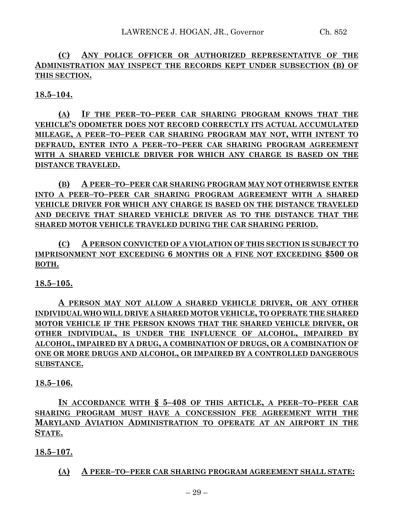**(C) ANY POLICE OFFICER OR AUTHORIZED REPRESENTATIVE OF THE ADMINISTRATION MAY INSPECT THE RECORDS KEPT UNDER SUBSECTION (B) OF THIS SECTION.**

**18.5–104.**

**(A) IF THE PEER–TO–PEER CAR SHARING PROGRAM KNOWS THAT THE VEHICLE'S ODOMETER DOES NOT RECORD CORRECTLY ITS ACTUAL ACCUMULATED MILEAGE, A PEER–TO–PEER CAR SHARING PROGRAM MAY NOT, WITH INTENT TO DEFRAUD, ENTER INTO A PEER–TO–PEER CAR SHARING PROGRAM AGREEMENT WITH A SHARED VEHICLE DRIVER FOR WHICH ANY CHARGE IS BASED ON THE DISTANCE TRAVELED.**

**(B) A PEER–TO–PEER CAR SHARING PROGRAM MAY NOT OTHERWISE ENTER INTO A PEER–TO–PEER CAR SHARING PROGRAM AGREEMENT WITH A SHARED VEHICLE DRIVER FOR WHICH ANY CHARGE IS BASED ON THE DISTANCE TRAVELED AND DECEIVE THAT SHARED VEHICLE DRIVER AS TO THE DISTANCE THAT THE SHARED MOTOR VEHICLE TRAVELED DURING THE CAR SHARING PERIOD.**

**(C) A PERSON CONVICTED OF A VIOLATION OF THIS SECTION IS SUBJECT TO IMPRISONMENT NOT EXCEEDING 6 MONTHS OR A FINE NOT EXCEEDING \$500 OR BOTH.**

**18.5–105.**

**A PERSON MAY NOT ALLOW A SHARED VEHICLE DRIVER, OR ANY OTHER INDIVIDUAL WHO WILL DRIVE A SHARED MOTOR VEHICLE, TO OPERATE THE SHARED MOTOR VEHICLE IF THE PERSON KNOWS THAT THE SHARED VEHICLE DRIVER, OR OTHER INDIVIDUAL, IS UNDER THE INFLUENCE OF ALCOHOL, IMPAIRED BY ALCOHOL, IMPAIRED BY A DRUG, A COMBINATION OF DRUGS, OR A COMBINATION OF ONE OR MORE DRUGS AND ALCOHOL, OR IMPAIRED BY A CONTROLLED DANGEROUS SUBSTANCE.**

**18.5–106.**

**IN ACCORDANCE WITH § 5–408 OF THIS ARTICLE, A PEER–TO–PEER CAR SHARING PROGRAM MUST HAVE A CONCESSION FEE AGREEMENT WITH THE MARYLAND AVIATION ADMINISTRATION TO OPERATE AT AN AIRPORT IN THE STATE.**

**18.5–107.**

**(A) A PEER–TO–PEER CAR SHARING PROGRAM AGREEMENT SHALL STATE:**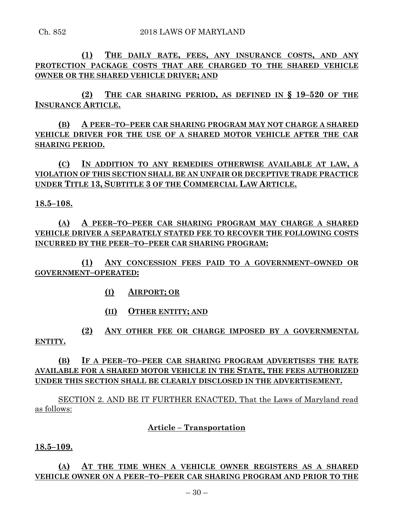**(1) THE DAILY RATE, FEES, ANY INSURANCE COSTS, AND ANY PROTECTION PACKAGE COSTS THAT ARE CHARGED TO THE SHARED VEHICLE OWNER OR THE SHARED VEHICLE DRIVER; AND**

**(2) THE CAR SHARING PERIOD, AS DEFINED IN § 19–520 OF THE INSURANCE ARTICLE.**

**(B) A PEER–TO–PEER CAR SHARING PROGRAM MAY NOT CHARGE A SHARED VEHICLE DRIVER FOR THE USE OF A SHARED MOTOR VEHICLE AFTER THE CAR SHARING PERIOD.**

**(C) IN ADDITION TO ANY REMEDIES OTHERWISE AVAILABLE AT LAW, A VIOLATION OF THIS SECTION SHALL BE AN UNFAIR OR DECEPTIVE TRADE PRACTICE UNDER TITLE 13, SUBTITLE 3 OF THE COMMERCIAL LAW ARTICLE.**

### **18.5–108.**

**(A) A PEER–TO–PEER CAR SHARING PROGRAM MAY CHARGE A SHARED VEHICLE DRIVER A SEPARATELY STATED FEE TO RECOVER THE FOLLOWING COSTS INCURRED BY THE PEER–TO–PEER CAR SHARING PROGRAM:**

**(1) ANY CONCESSION FEES PAID TO A GOVERNMENT–OWNED OR GOVERNMENT–OPERATED:**

- **(I) AIRPORT; OR**
- **(II) OTHER ENTITY; AND**

**(2) ANY OTHER FEE OR CHARGE IMPOSED BY A GOVERNMENTAL ENTITY.**

**(B) IF A PEER–TO–PEER CAR SHARING PROGRAM ADVERTISES THE RATE AVAILABLE FOR A SHARED MOTOR VEHICLE IN THE STATE, THE FEES AUTHORIZED UNDER THIS SECTION SHALL BE CLEARLY DISCLOSED IN THE ADVERTISEMENT.**

SECTION 2. AND BE IT FURTHER ENACTED, That the Laws of Maryland read as follows:

### **Article – Transportation**

**18.5–109.**

# **(A) AT THE TIME WHEN A VEHICLE OWNER REGISTERS AS A SHARED VEHICLE OWNER ON A PEER–TO–PEER CAR SHARING PROGRAM AND PRIOR TO THE**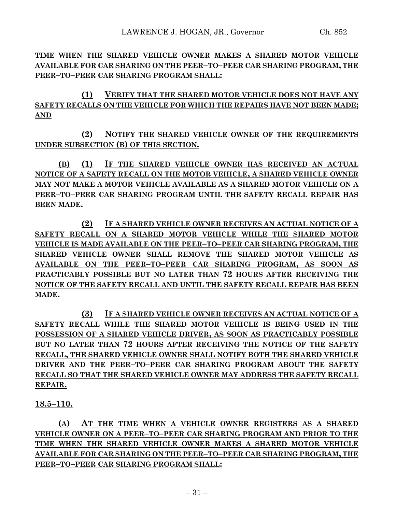**TIME WHEN THE SHARED VEHICLE OWNER MAKES A SHARED MOTOR VEHICLE AVAILABLE FOR CAR SHARING ON THE PEER–TO–PEER CAR SHARING PROGRAM, THE PEER–TO–PEER CAR SHARING PROGRAM SHALL:**

**(1) VERIFY THAT THE SHARED MOTOR VEHICLE DOES NOT HAVE ANY SAFETY RECALLS ON THE VEHICLE FOR WHICH THE REPAIRS HAVE NOT BEEN MADE; AND**

**(2) NOTIFY THE SHARED VEHICLE OWNER OF THE REQUIREMENTS UNDER SUBSECTION (B) OF THIS SECTION.**

**(B) (1) IF THE SHARED VEHICLE OWNER HAS RECEIVED AN ACTUAL NOTICE OF A SAFETY RECALL ON THE MOTOR VEHICLE, A SHARED VEHICLE OWNER MAY NOT MAKE A MOTOR VEHICLE AVAILABLE AS A SHARED MOTOR VEHICLE ON A PEER–TO–PEER CAR SHARING PROGRAM UNTIL THE SAFETY RECALL REPAIR HAS BEEN MADE.**

**(2) IF A SHARED VEHICLE OWNER RECEIVES AN ACTUAL NOTICE OF A SAFETY RECALL ON A SHARED MOTOR VEHICLE WHILE THE SHARED MOTOR VEHICLE IS MADE AVAILABLE ON THE PEER–TO–PEER CAR SHARING PROGRAM, THE SHARED VEHICLE OWNER SHALL REMOVE THE SHARED MOTOR VEHICLE AS AVAILABLE ON THE PEER–TO–PEER CAR SHARING PROGRAM, AS SOON AS PRACTICABLY POSSIBLE BUT NO LATER THAN 72 HOURS AFTER RECEIVING THE NOTICE OF THE SAFETY RECALL AND UNTIL THE SAFETY RECALL REPAIR HAS BEEN MADE.**

**(3) IF A SHARED VEHICLE OWNER RECEIVES AN ACTUAL NOTICE OF A SAFETY RECALL WHILE THE SHARED MOTOR VEHICLE IS BEING USED IN THE POSSESSION OF A SHARED VEHICLE DRIVER, AS SOON AS PRACTICABLY POSSIBLE BUT NO LATER THAN 72 HOURS AFTER RECEIVING THE NOTICE OF THE SAFETY RECALL, THE SHARED VEHICLE OWNER SHALL NOTIFY BOTH THE SHARED VEHICLE DRIVER AND THE PEER–TO–PEER CAR SHARING PROGRAM ABOUT THE SAFETY RECALL SO THAT THE SHARED VEHICLE OWNER MAY ADDRESS THE SAFETY RECALL REPAIR.**

**18.5–110.**

**(A) AT THE TIME WHEN A VEHICLE OWNER REGISTERS AS A SHARED VEHICLE OWNER ON A PEER–TO–PEER CAR SHARING PROGRAM AND PRIOR TO THE TIME WHEN THE SHARED VEHICLE OWNER MAKES A SHARED MOTOR VEHICLE AVAILABLE FOR CAR SHARING ON THE PEER–TO–PEER CAR SHARING PROGRAM, THE PEER–TO–PEER CAR SHARING PROGRAM SHALL:**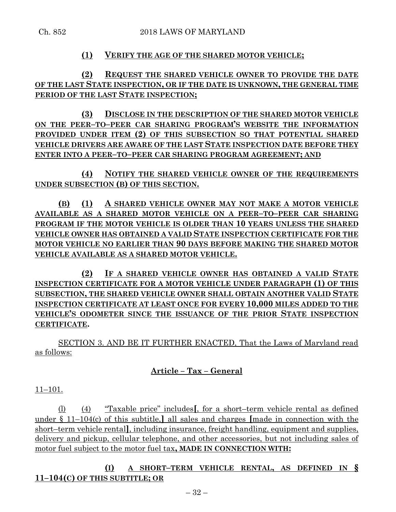### **(1) VERIFY THE AGE OF THE SHARED MOTOR VEHICLE;**

**(2) REQUEST THE SHARED VEHICLE OWNER TO PROVIDE THE DATE OF THE LAST STATE INSPECTION, OR IF THE DATE IS UNKNOWN, THE GENERAL TIME PERIOD OF THE LAST STATE INSPECTION;**

**(3) DISCLOSE IN THE DESCRIPTION OF THE SHARED MOTOR VEHICLE ON THE PEER–TO–PEER CAR SHARING PROGRAM'S WEBSITE THE INFORMATION PROVIDED UNDER ITEM (2) OF THIS SUBSECTION SO THAT POTENTIAL SHARED VEHICLE DRIVERS ARE AWARE OF THE LAST STATE INSPECTION DATE BEFORE THEY ENTER INTO A PEER–TO–PEER CAR SHARING PROGRAM AGREEMENT; AND**

**(4) NOTIFY THE SHARED VEHICLE OWNER OF THE REQUIREMENTS UNDER SUBSECTION (B) OF THIS SECTION.**

**(B) (1) A SHARED VEHICLE OWNER MAY NOT MAKE A MOTOR VEHICLE AVAILABLE AS A SHARED MOTOR VEHICLE ON A PEER–TO–PEER CAR SHARING PROGRAM IF THE MOTOR VEHICLE IS OLDER THAN 10 YEARS UNLESS THE SHARED VEHICLE OWNER HAS OBTAINED A VALID STATE INSPECTION CERTIFICATE FOR THE MOTOR VEHICLE NO EARLIER THAN 90 DAYS BEFORE MAKING THE SHARED MOTOR VEHICLE AVAILABLE AS A SHARED MOTOR VEHICLE.**

**(2) IF A SHARED VEHICLE OWNER HAS OBTAINED A VALID STATE INSPECTION CERTIFICATE FOR A MOTOR VEHICLE UNDER PARAGRAPH (1) OF THIS SUBSECTION, THE SHARED VEHICLE OWNER SHALL OBTAIN ANOTHER VALID STATE INSPECTION CERTIFICATE AT LEAST ONCE FOR EVERY 10,000 MILES ADDED TO THE VEHICLE'S ODOMETER SINCE THE ISSUANCE OF THE PRIOR STATE INSPECTION CERTIFICATE.**

SECTION 3. AND BE IT FURTHER ENACTED, That the Laws of Maryland read as follows:

### **Article – Tax – General**

11–101.

(l) (4) "Taxable price" includes**[**, for a short–term vehicle rental as defined under § 11–104(c) of this subtitle,**]** all sales and charges **[**made in connection with the short–term vehicle rental**]**, including insurance, freight handling, equipment and supplies, delivery and pickup, cellular telephone, and other accessories, but not including sales of motor fuel subject to the motor fuel tax**, MADE IN CONNECTION WITH:**

**(I) A SHORT–TERM VEHICLE RENTAL, AS DEFINED IN § 11–104(C) OF THIS SUBTITLE; OR**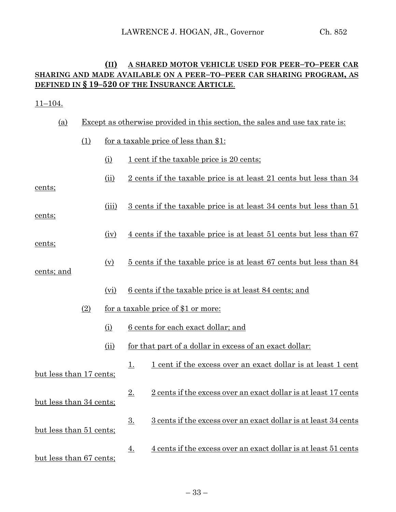# **(II) A SHARED MOTOR VEHICLE USED FOR PEER–TO–PEER CAR SHARING AND MADE AVAILABLE ON A PEER–TO–PEER CAR SHARING PROGRAM, AS DEFINED IN § 19–520 OF THE INSURANCE ARTICLE**.

### 11–104.

| (a)                     |                                            | Except as otherwise provided in this section, the sales and use tax rate is: |                                              |                                                                           |  |
|-------------------------|--------------------------------------------|------------------------------------------------------------------------------|----------------------------------------------|---------------------------------------------------------------------------|--|
|                         | (1)                                        |                                                                              | <u>for a taxable price of less than \$1:</u> |                                                                           |  |
|                         |                                            | (i)                                                                          |                                              | <u>1 cent if the taxable price is 20 cents;</u>                           |  |
| cents;                  |                                            | (ii)                                                                         |                                              | <u>2 cents if the taxable price is at least 21 cents but less than 34</u> |  |
| cents;                  |                                            | (iii)                                                                        |                                              | 3 cents if the taxable price is at least 34 cents but less than 51        |  |
| cents;                  |                                            | (iv)                                                                         |                                              | <u>4 cents if the taxable price is at least 51 cents but less than 67</u> |  |
| cents; and              |                                            | (v)                                                                          |                                              | <u>5 cents if the taxable price is at least 67 cents but less than 84</u> |  |
|                         |                                            | (vi)                                                                         |                                              | <u>6 cents</u> if the taxable price is at least 84 cents; and             |  |
|                         | for a taxable price of \$1 or more:<br>(2) |                                                                              |                                              |                                                                           |  |
|                         |                                            | (i)                                                                          |                                              | <u>6</u> cents for each exact dollar; and                                 |  |
|                         |                                            | (ii)                                                                         |                                              | for that part of a dollar in excess of an exact dollar:                   |  |
| but less than 17 cents; |                                            |                                                                              | <u>1.</u>                                    | <u>1 cent if the excess over an exact dollar is at least 1 cent</u>       |  |
| but less than 34 cents; |                                            |                                                                              | 2.                                           | 2 cents if the excess over an exact dollar is at least 17 cents           |  |
| but less than 51 cents; |                                            |                                                                              | 3.                                           | <u>3 cents if the excess over an exact dollar is at least 34 cents</u>    |  |
| but less than 67 cents; |                                            |                                                                              | <u>4.</u>                                    | 4 cents if the excess over an exact dollar is at least 51 cents           |  |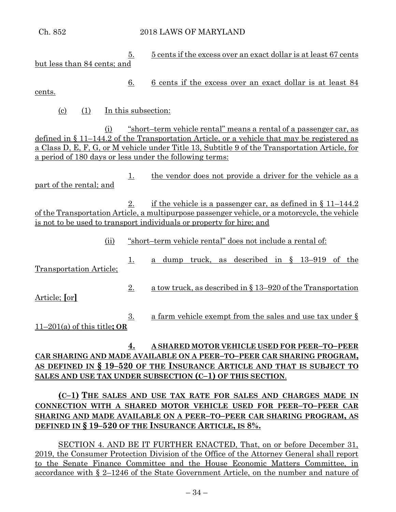Ch. 852 2018 LAWS OF MARYLAND

5. 5 cents if the excess over an exact dollar is at least 67 cents but less than 84 cents; and

6. 6 cents if the excess over an exact dollar is at least 84 cents.

(c) (1) In this subsection:

(i) "short–term vehicle rental" means a rental of a passenger car, as defined in § 11–144.2 of the Transportation Article, or a vehicle that may be registered as a Class D, E, F, G, or M vehicle under Title 13, Subtitle 9 of the Transportation Article, for a period of 180 days or less under the following terms:

1. the vendor does not provide a driver for the vehicle as a part of the rental; and

2. if the vehicle is a passenger car, as defined in  $\S 11-144.2$ of the Transportation Article, a multipurpose passenger vehicle, or a motorcycle, the vehicle is not to be used to transport individuals or property for hire; and

- (ii) "short–term vehicle rental" does not include a rental of:
- 1. a dump truck, as described in § 13–919 of the Transportation Article;
- 2. a tow truck, as described in § 13–920 of the Transportation Article; **[**or**]**
- 3. a farm vehicle exempt from the sales and use tax under  $\S$ 11–201(a) of this title**; OR**

# **4. A SHARED MOTOR VEHICLE USED FOR PEER–TO–PEER CAR SHARING AND MADE AVAILABLE ON A PEER–TO–PEER CAR SHARING PROGRAM, AS DEFINED IN § 19–520 OF THE INSURANCE ARTICLE AND THAT IS SUBJECT TO SALES AND USE TAX UNDER SUBSECTION (C–1) OF THIS SECTION**.

# **(C–1) THE SALES AND USE TAX RATE FOR SALES AND CHARGES MADE IN CONNECTION WITH A SHARED MOTOR VEHICLE USED FOR PEER–TO–PEER CAR SHARING AND MADE AVAILABLE ON A PEER–TO–PEER CAR SHARING PROGRAM, AS DEFINED IN § 19–520 OF THE INSURANCE ARTICLE, IS 8%.**

SECTION 4. AND BE IT FURTHER ENACTED, That, on or before December 31, 2019, the Consumer Protection Division of the Office of the Attorney General shall report to the Senate Finance Committee and the House Economic Matters Committee, in accordance with § 2–1246 of the State Government Article, on the number and nature of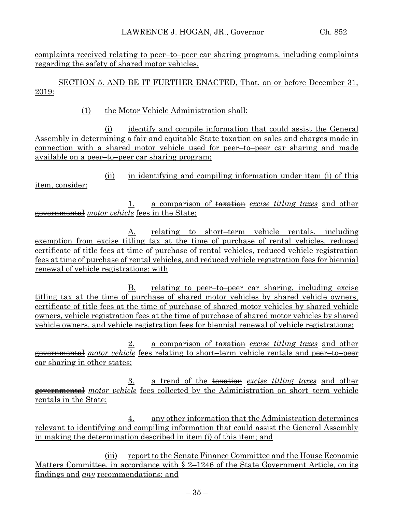complaints received relating to peer–to–peer car sharing programs, including complaints regarding the safety of shared motor vehicles.

SECTION 5. AND BE IT FURTHER ENACTED, That, on or before December 31, 2019:

### (1) the Motor Vehicle Administration shall:

(i) identify and compile information that could assist the General Assembly in determining a fair and equitable State taxation on sales and charges made in connection with a shared motor vehicle used for peer–to–peer car sharing and made available on a peer–to–peer car sharing program;

(ii) in identifying and compiling information under item (i) of this item, consider:

1. a comparison of taxation *excise titling taxes* and other governmental *motor vehicle* fees in the State:

A. relating to short–term vehicle rentals, including exemption from excise titling tax at the time of purchase of rental vehicles, reduced certificate of title fees at time of purchase of rental vehicles, reduced vehicle registration fees at time of purchase of rental vehicles, and reduced vehicle registration fees for biennial renewal of vehicle registrations; with

B. relating to peer–to–peer car sharing, including excise titling tax at the time of purchase of shared motor vehicles by shared vehicle owners, certificate of title fees at the time of purchase of shared motor vehicles by shared vehicle owners, vehicle registration fees at the time of purchase of shared motor vehicles by shared vehicle owners, and vehicle registration fees for biennial renewal of vehicle registrations;

2. a comparison of taxation *excise titling taxes* and other governmental *motor vehicle* fees relating to short–term vehicle rentals and peer–to–peer car sharing in other states;

3. a trend of the taxation *excise titling taxes* and other governmental *motor vehicle* fees collected by the Administration on short–term vehicle rentals in the State;

4. any other information that the Administration determines relevant to identifying and compiling information that could assist the General Assembly in making the determination described in item (i) of this item; and

(iii) report to the Senate Finance Committee and the House Economic Matters Committee, in accordance with  $\S$  2–1246 of the State Government Article, on its findings and *any* recommendations; and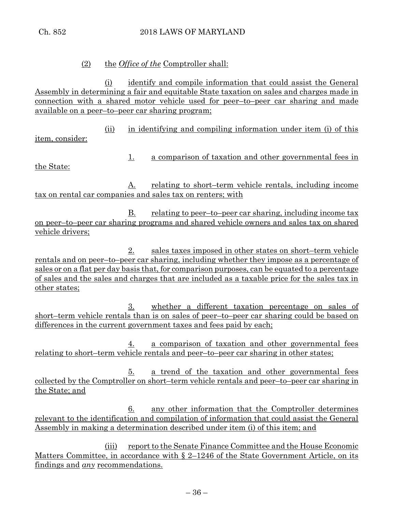# (2) the *Office of the* Comptroller shall:

(i) identify and compile information that could assist the General Assembly in determining a fair and equitable State taxation on sales and charges made in connection with a shared motor vehicle used for peer–to–peer car sharing and made available on a peer–to–peer car sharing program;

(ii) in identifying and compiling information under item (i) of this

item, consider:

the State:

1. a comparison of taxation and other governmental fees in

A. relating to short–term vehicle rentals, including income tax on rental car companies and sales tax on renters; with

 $B.$  relating to peer–to–peer car sharing, including income tax on peer–to–peer car sharing programs and shared vehicle owners and sales tax on shared vehicle drivers;

2. sales taxes imposed in other states on short–term vehicle rentals and on peer–to–peer car sharing, including whether they impose as a percentage of sales or on a flat per day basis that, for comparison purposes, can be equated to a percentage of sales and the sales and charges that are included as a taxable price for the sales tax in other states;

3. whether a different taxation percentage on sales of short–term vehicle rentals than is on sales of peer–to–peer car sharing could be based on differences in the current government taxes and fees paid by each;

4. a comparison of taxation and other governmental fees relating to short–term vehicle rentals and peer–to–peer car sharing in other states;

5. a trend of the taxation and other governmental fees collected by the Comptroller on short–term vehicle rentals and peer–to–peer car sharing in the State; and

6. any other information that the Comptroller determines relevant to the identification and compilation of information that could assist the General Assembly in making a determination described under item (i) of this item; and

(iii) report to the Senate Finance Committee and the House Economic Matters Committee, in accordance with § 2–1246 of the State Government Article, on its findings and *any* recommendations.